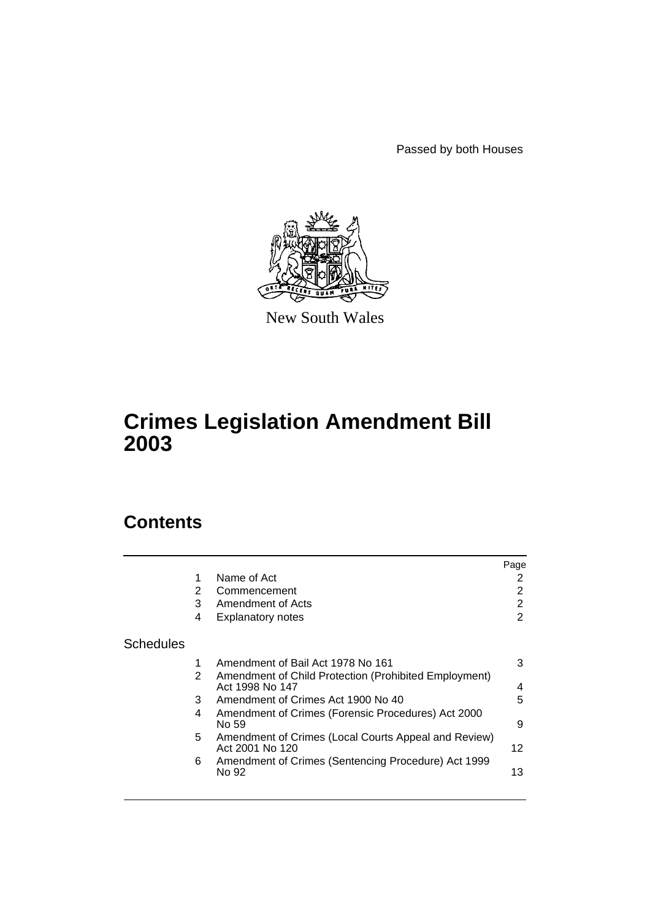Passed by both Houses



New South Wales

# **Crimes Legislation Amendment Bill 2003**

# **Contents**

|           |   |                                                                          | Page |
|-----------|---|--------------------------------------------------------------------------|------|
|           | 1 | Name of Act                                                              | 2    |
|           | 2 | Commencement                                                             | 2    |
|           | 3 | Amendment of Acts                                                        | 2    |
|           | 4 | <b>Explanatory notes</b>                                                 | 2    |
| Schedules |   |                                                                          |      |
|           | 1 | Amendment of Bail Act 1978 No 161                                        | 3    |
|           | 2 | Amendment of Child Protection (Prohibited Employment)<br>Act 1998 No 147 | 4    |
|           | 3 | Amendment of Crimes Act 1900 No 40                                       | 5    |
|           | 4 | Amendment of Crimes (Forensic Procedures) Act 2000<br>No 59              | 9    |
|           | 5 | Amendment of Crimes (Local Courts Appeal and Review)<br>Act 2001 No 120  | 12   |
|           | 6 | Amendment of Crimes (Sentencing Procedure) Act 1999                      |      |
|           |   | No 92                                                                    | 13   |
|           |   |                                                                          |      |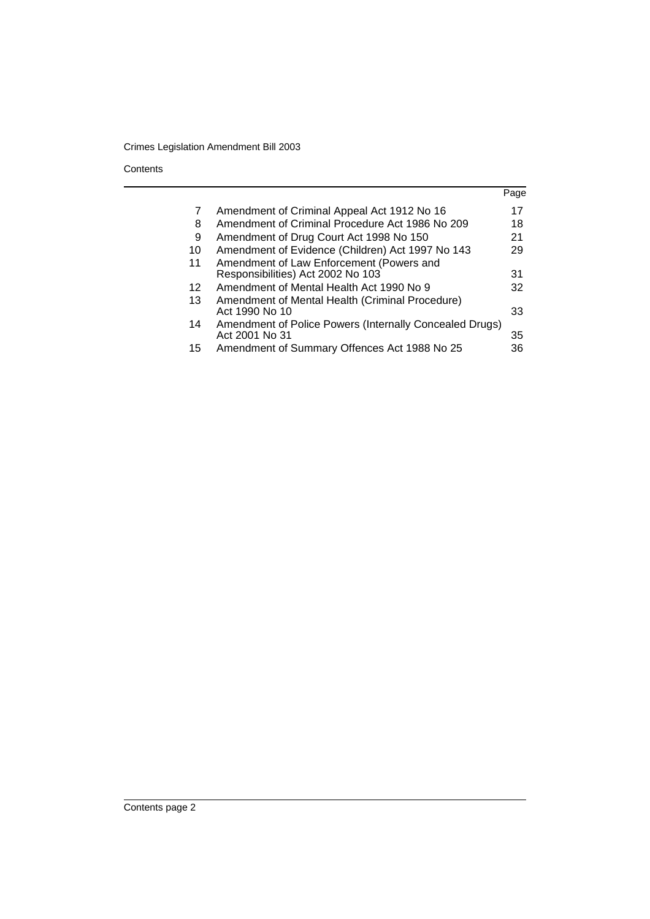**Contents** 

|    |                                                                               | Page |
|----|-------------------------------------------------------------------------------|------|
| 7  | Amendment of Criminal Appeal Act 1912 No 16                                   | 17   |
| 8  | Amendment of Criminal Procedure Act 1986 No 209                               | 18   |
| 9  | Amendment of Drug Court Act 1998 No 150                                       | 21   |
| 10 | Amendment of Evidence (Children) Act 1997 No 143                              | 29   |
| 11 | Amendment of Law Enforcement (Powers and<br>Responsibilities) Act 2002 No 103 | 31   |
| 12 | Amendment of Mental Health Act 1990 No 9                                      | 32   |
| 13 | Amendment of Mental Health (Criminal Procedure)<br>Act 1990 No 10             | 33   |
| 14 | Amendment of Police Powers (Internally Concealed Drugs)<br>Act 2001 No 31     | 35   |
| 15 | Amendment of Summary Offences Act 1988 No 25                                  | 36   |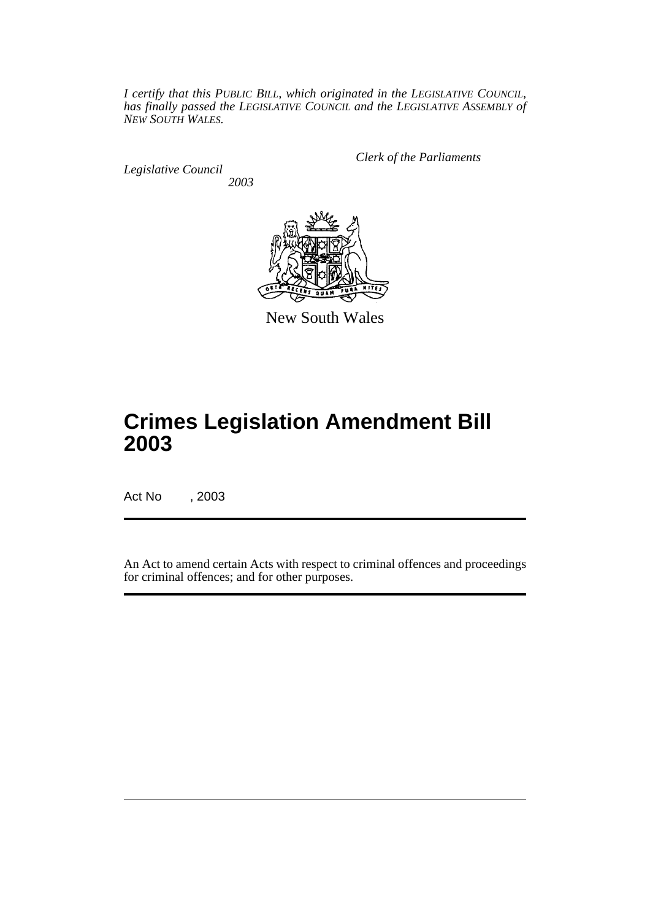*I certify that this PUBLIC BILL, which originated in the LEGISLATIVE COUNCIL, has finally passed the LEGISLATIVE COUNCIL and the LEGISLATIVE ASSEMBLY of NEW SOUTH WALES.*

*Legislative Council 2003* *Clerk of the Parliaments*



New South Wales

# **Crimes Legislation Amendment Bill 2003**

Act No , 2003

An Act to amend certain Acts with respect to criminal offences and proceedings for criminal offences; and for other purposes.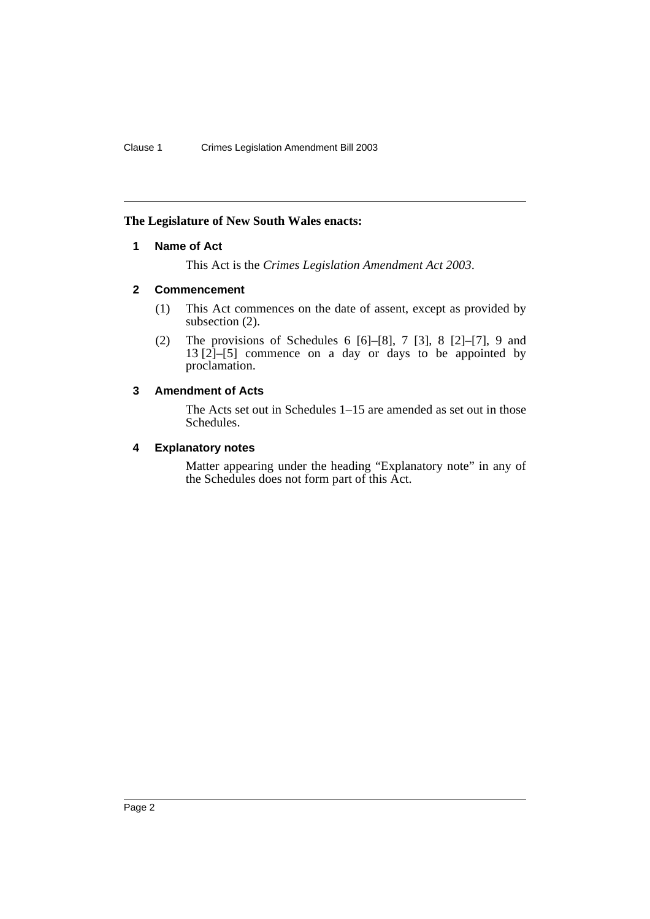### <span id="page-3-0"></span>**The Legislature of New South Wales enacts:**

# **1 Name of Act**

This Act is the *Crimes Legislation Amendment Act 2003*.

# <span id="page-3-1"></span>**2 Commencement**

- (1) This Act commences on the date of assent, except as provided by subsection  $(2)$ .
- (2) The provisions of Schedules 6 [6]–[8], 7 [3], 8 [2]–[7], 9 and  $13 [2]-[5]$  commence on a day or days to be appointed by proclamation.

# <span id="page-3-2"></span>**3 Amendment of Acts**

The Acts set out in Schedules 1–15 are amended as set out in those Schedules.

# <span id="page-3-3"></span>**4 Explanatory notes**

Matter appearing under the heading "Explanatory note" in any of the Schedules does not form part of this Act.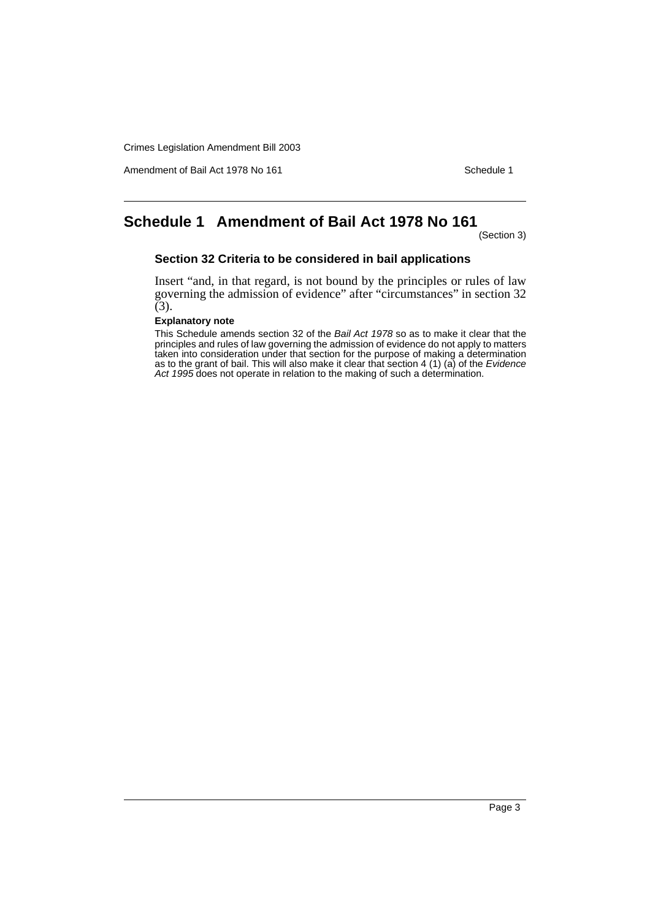Amendment of Bail Act 1978 No 161 Schedule 1

# <span id="page-4-0"></span>**Schedule 1 Amendment of Bail Act 1978 No 161**

(Section 3)

### **Section 32 Criteria to be considered in bail applications**

Insert "and, in that regard, is not bound by the principles or rules of law governing the admission of evidence" after "circumstances" in section 32  $(3).$ 

# **Explanatory note**

This Schedule amends section 32 of the Bail Act 1978 so as to make it clear that the principles and rules of law governing the admission of evidence do not apply to matters taken into consideration under that section for the purpose of making a determination as to the grant of bail. This will also make it clear that section 4 (1) (a) of the Evidence Act 1995 does not operate in relation to the making of such a determination.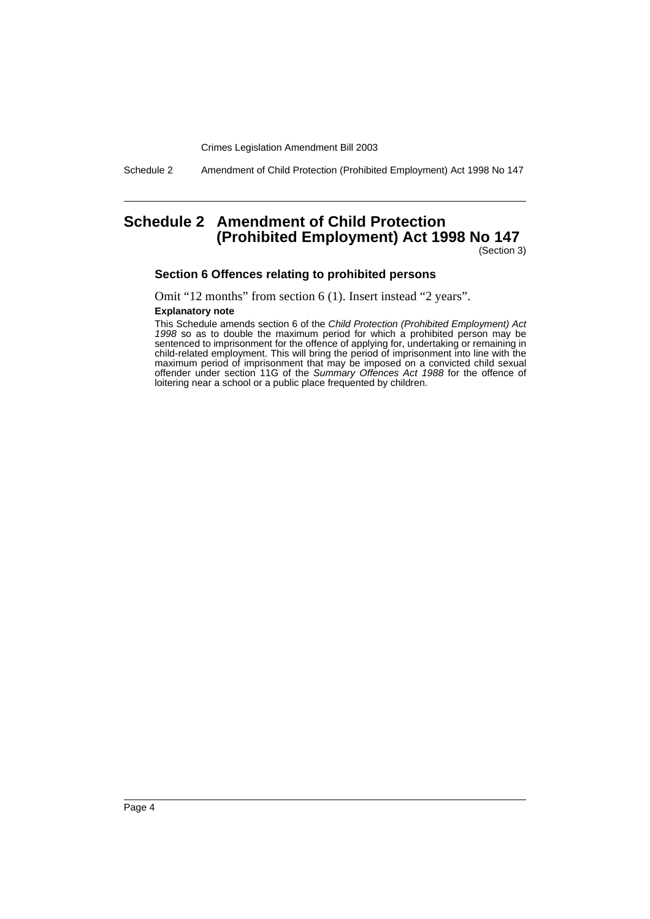Schedule 2 Amendment of Child Protection (Prohibited Employment) Act 1998 No 147

# <span id="page-5-0"></span>**Schedule 2 Amendment of Child Protection (Prohibited Employment) Act 1998 No 147**

(Section 3)

#### **Section 6 Offences relating to prohibited persons**

Omit "12 months" from section 6 (1). Insert instead "2 years".

#### **Explanatory note**

This Schedule amends section 6 of the Child Protection (Prohibited Employment) Act 1998 so as to double the maximum period for which a prohibited person may be sentenced to imprisonment for the offence of applying for, undertaking or remaining in child-related employment. This will bring the period of imprisonment into line with the maximum period of imprisonment that may be imposed on a convicted child sexual offender under section 11G of the Summary Offences Act 1988 for the offence of loitering near a school or a public place frequented by children.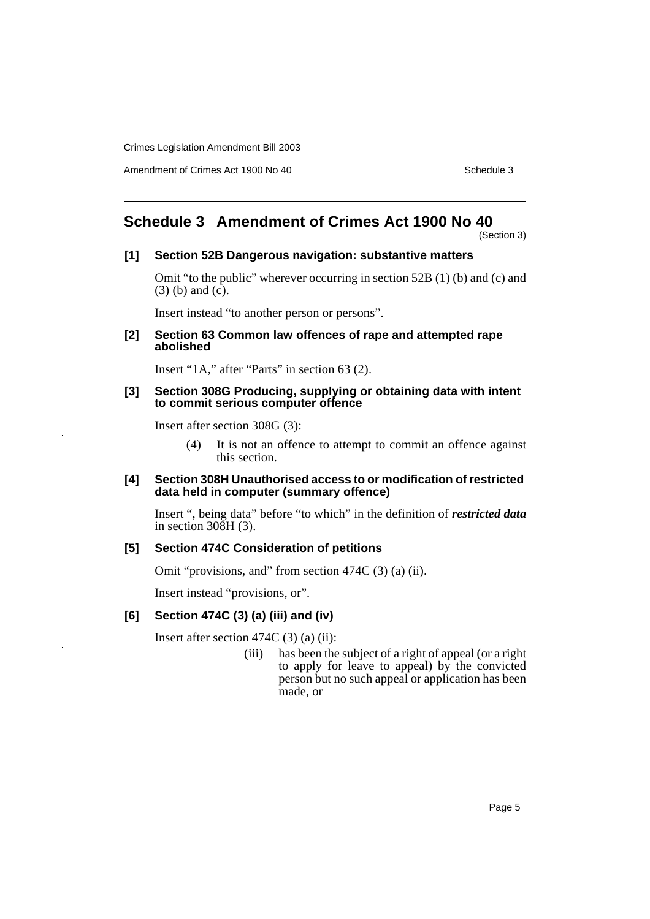Amendment of Crimes Act 1900 No 40 Schedule 3

# <span id="page-6-0"></span>**Schedule 3 Amendment of Crimes Act 1900 No 40**

(Section 3)

### **[1] Section 52B Dangerous navigation: substantive matters**

Omit "to the public" wherever occurring in section 52B (1) (b) and (c) and (3) (b) and (c).

Insert instead "to another person or persons".

#### **[2] Section 63 Common law offences of rape and attempted rape abolished**

Insert "1A," after "Parts" in section 63 (2).

#### **[3] Section 308G Producing, supplying or obtaining data with intent to commit serious computer offence**

Insert after section 308G (3):

(4) It is not an offence to attempt to commit an offence against this section.

### **[4] Section 308H Unauthorised access to or modification of restricted data held in computer (summary offence)**

Insert ", being data" before "to which" in the definition of *restricted data* in section 308H (3).

### **[5] Section 474C Consideration of petitions**

Omit "provisions, and" from section 474C (3) (a) (ii).

Insert instead "provisions, or".

### **[6] Section 474C (3) (a) (iii) and (iv)**

Insert after section 474C (3) (a) (ii):

(iii) has been the subject of a right of appeal (or a right to apply for leave to appeal) by the convicted person but no such appeal or application has been made, or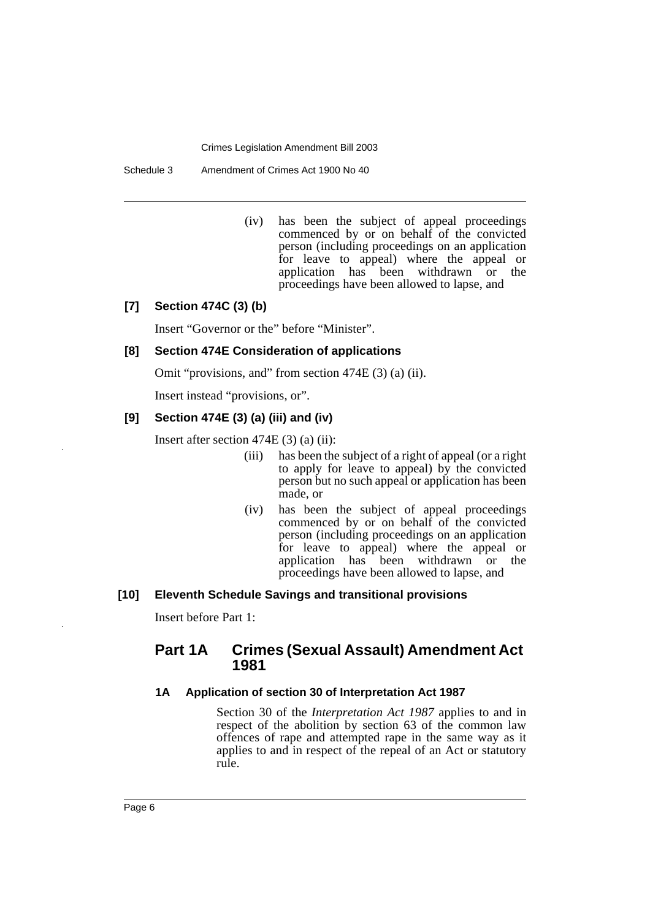Schedule 3 Amendment of Crimes Act 1900 No 40

(iv) has been the subject of appeal proceedings commenced by or on behalf of the convicted person (including proceedings on an application for leave to appeal) where the appeal or application has been withdrawn or the proceedings have been allowed to lapse, and

# **[7] Section 474C (3) (b)**

Insert "Governor or the" before "Minister".

# **[8] Section 474E Consideration of applications**

Omit "provisions, and" from section 474E (3) (a) (ii).

Insert instead "provisions, or".

### **[9] Section 474E (3) (a) (iii) and (iv)**

Insert after section  $474E(3)$  (a) (ii):

- (iii) has been the subject of a right of appeal (or a right to apply for leave to appeal) by the convicted person but no such appeal or application has been made, or
- (iv) has been the subject of appeal proceedings commenced by or on behalf of the convicted person (including proceedings on an application for leave to appeal) where the appeal or application has been withdrawn or the proceedings have been allowed to lapse, and

#### **[10] Eleventh Schedule Savings and transitional provisions**

Insert before Part 1:

# **Part 1A Crimes (Sexual Assault) Amendment Act 1981**

#### **1A Application of section 30 of Interpretation Act 1987**

Section 30 of the *Interpretation Act 1987* applies to and in respect of the abolition by section 63 of the common law offences of rape and attempted rape in the same way as it applies to and in respect of the repeal of an Act or statutory rule.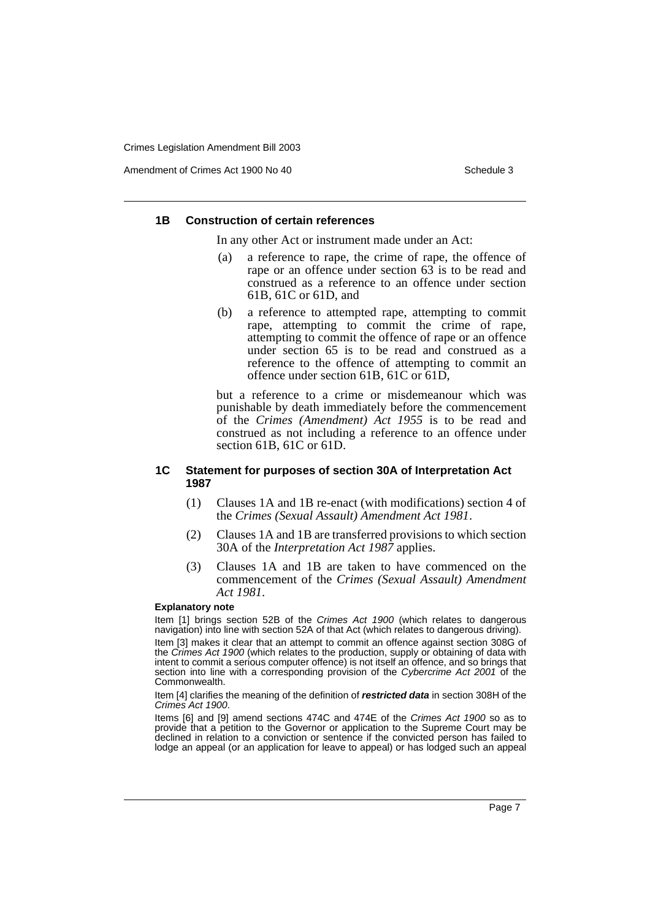Amendment of Crimes Act 1900 No 40 Schedule 3

#### **1B Construction of certain references**

In any other Act or instrument made under an Act:

- (a) a reference to rape, the crime of rape, the offence of rape or an offence under section 63 is to be read and construed as a reference to an offence under section 61B, 61C or 61D, and
- (b) a reference to attempted rape, attempting to commit rape, attempting to commit the crime of rape, attempting to commit the offence of rape or an offence under section 65 is to be read and construed as a reference to the offence of attempting to commit an offence under section 61B, 61C or 61D,

but a reference to a crime or misdemeanour which was punishable by death immediately before the commencement of the *Crimes (Amendment) Act 1955* is to be read and construed as not including a reference to an offence under section 61B, 61C or 61D.

#### **1C Statement for purposes of section 30A of Interpretation Act 1987**

- (1) Clauses 1A and 1B re-enact (with modifications) section 4 of the *Crimes (Sexual Assault) Amendment Act 1981*.
- (2) Clauses 1A and 1B are transferred provisions to which section 30A of the *Interpretation Act 1987* applies.
- (3) Clauses 1A and 1B are taken to have commenced on the commencement of the *Crimes (Sexual Assault) Amendment Act 1981*.

#### **Explanatory note**

Item [1] brings section 52B of the Crimes Act 1900 (which relates to dangerous navigation) into line with section 52A of that Act (which relates to dangerous driving).

Item [3] makes it clear that an attempt to commit an offence against section 308G of the Crimes Act 1900 (which relates to the production, supply or obtaining of data with intent to commit a serious computer offence) is not itself an offence, and so brings that section into line with a corresponding provision of the Cybercrime Act 2001 of the Commonwealth.

Item [4] clarifies the meaning of the definition of **restricted data** in section 308H of the Crimes Act 1900.

Items [6] and [9] amend sections 474C and 474E of the Crimes Act 1900 so as to provide that a petition to the Governor or application to the Supreme Court may be declined in relation to a conviction or sentence if the convicted person has failed to lodge an appeal (or an application for leave to appeal) or has lodged such an appeal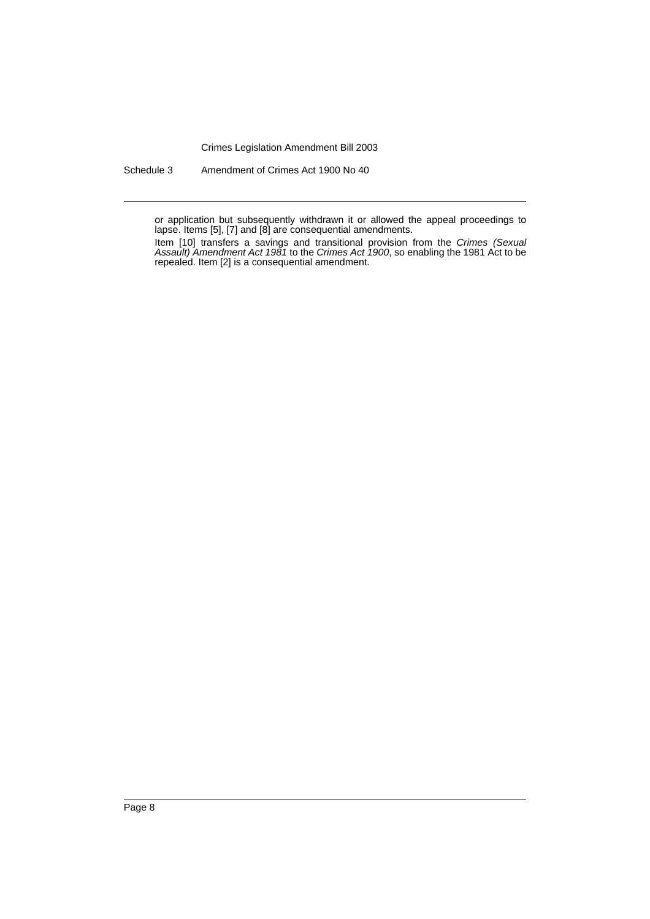Schedule 3 Amendment of Crimes Act 1900 No 40

or application but subsequently withdrawn it or allowed the appeal proceedings to lapse. Items [5], [7] and [8] are consequential amendments.

Item [10] transfers a savings and transitional provision from the Crimes (Sexual Assault) Amendment Act 1981 to the Crimes Act 1900, so enabling the 1981 Act to be repealed. Item [2] is a consequential amendment.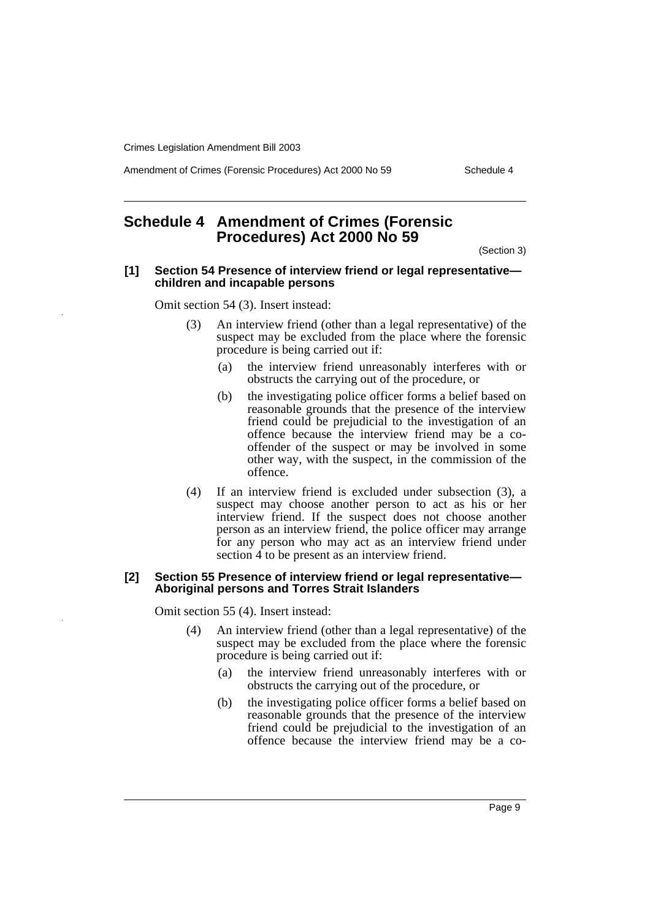Amendment of Crimes (Forensic Procedures) Act 2000 No 59 Schedule 4

# <span id="page-10-0"></span>**Schedule 4 Amendment of Crimes (Forensic Procedures) Act 2000 No 59**

(Section 3)

#### **[1] Section 54 Presence of interview friend or legal representative children and incapable persons**

Omit section 54 (3). Insert instead:

- (3) An interview friend (other than a legal representative) of the suspect may be excluded from the place where the forensic procedure is being carried out if:
	- (a) the interview friend unreasonably interferes with or obstructs the carrying out of the procedure, or
	- (b) the investigating police officer forms a belief based on reasonable grounds that the presence of the interview friend could be prejudicial to the investigation of an offence because the interview friend may be a cooffender of the suspect or may be involved in some other way, with the suspect, in the commission of the offence.
- (4) If an interview friend is excluded under subsection (3), a suspect may choose another person to act as his or her interview friend. If the suspect does not choose another person as an interview friend, the police officer may arrange for any person who may act as an interview friend under section 4 to be present as an interview friend.

#### **[2] Section 55 Presence of interview friend or legal representative— Aboriginal persons and Torres Strait Islanders**

Omit section 55 (4). Insert instead:

- (4) An interview friend (other than a legal representative) of the suspect may be excluded from the place where the forensic procedure is being carried out if:
	- (a) the interview friend unreasonably interferes with or obstructs the carrying out of the procedure, or
	- (b) the investigating police officer forms a belief based on reasonable grounds that the presence of the interview friend could be prejudicial to the investigation of an offence because the interview friend may be a co-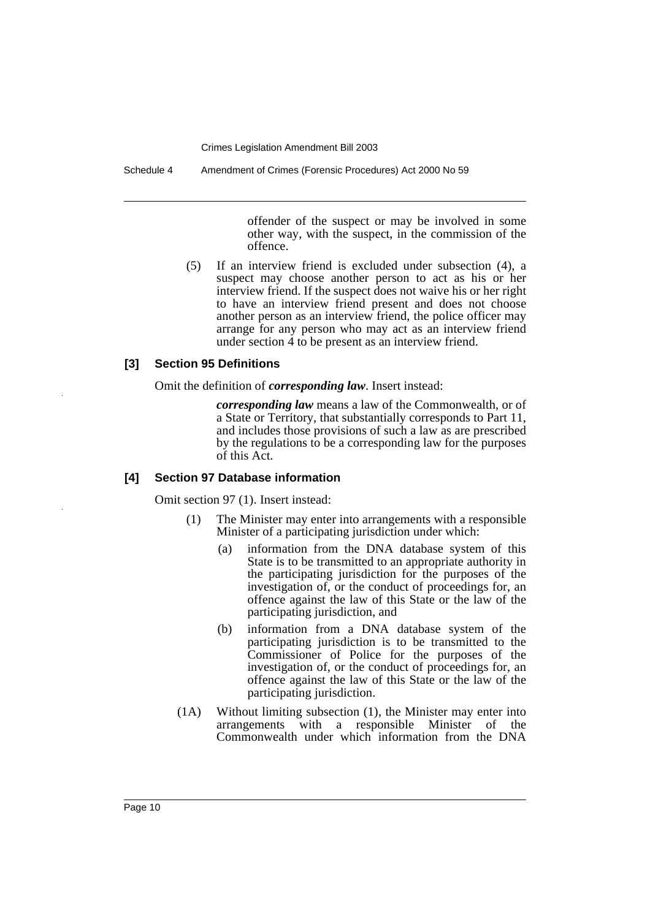Schedule 4 Amendment of Crimes (Forensic Procedures) Act 2000 No 59

offender of the suspect or may be involved in some other way, with the suspect, in the commission of the offence.

(5) If an interview friend is excluded under subsection (4), a suspect may choose another person to act as his or her interview friend. If the suspect does not waive his or her right to have an interview friend present and does not choose another person as an interview friend, the police officer may arrange for any person who may act as an interview friend under section 4 to be present as an interview friend.

# **[3] Section 95 Definitions**

Omit the definition of *corresponding law*. Insert instead:

*corresponding law* means a law of the Commonwealth, or of a State or Territory, that substantially corresponds to Part 11, and includes those provisions of such a law as are prescribed by the regulations to be a corresponding law for the purposes of this Act.

#### **[4] Section 97 Database information**

Omit section 97 (1). Insert instead:

- (1) The Minister may enter into arrangements with a responsible Minister of a participating jurisdiction under which:
	- (a) information from the DNA database system of this State is to be transmitted to an appropriate authority in the participating jurisdiction for the purposes of the investigation of, or the conduct of proceedings for, an offence against the law of this State or the law of the participating jurisdiction, and
	- (b) information from a DNA database system of the participating jurisdiction is to be transmitted to the Commissioner of Police for the purposes of the investigation of, or the conduct of proceedings for, an offence against the law of this State or the law of the participating jurisdiction.
- (1A) Without limiting subsection (1), the Minister may enter into arrangements with a responsible Minister of the Commonwealth under which information from the DNA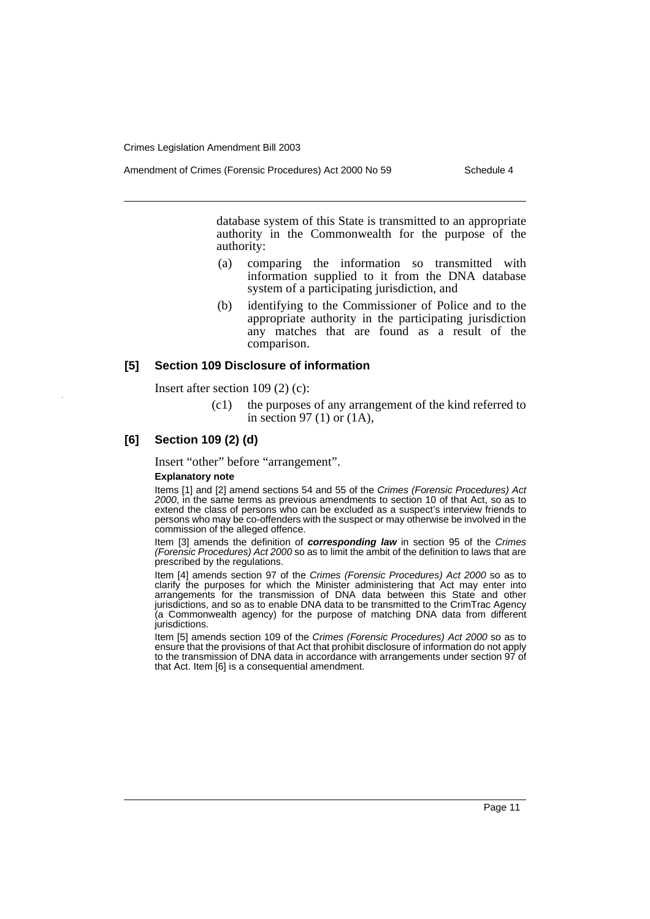database system of this State is transmitted to an appropriate authority in the Commonwealth for the purpose of the authority:

- (a) comparing the information so transmitted with information supplied to it from the DNA database system of a participating jurisdiction, and
- (b) identifying to the Commissioner of Police and to the appropriate authority in the participating jurisdiction any matches that are found as a result of the comparison.

#### **[5] Section 109 Disclosure of information**

Insert after section 109 (2) (c):

(c1) the purposes of any arrangement of the kind referred to in section 97 (1) or (1A),

#### **[6] Section 109 (2) (d)**

Insert "other" before "arrangement".

#### **Explanatory note**

Items [1] and [2] amend sections 54 and 55 of the Crimes (Forensic Procedures) Act 2000, in the same terms as previous amendments to section 10 of that Act, so as to extend the class of persons who can be excluded as a suspect's interview friends to persons who may be co-offenders with the suspect or may otherwise be involved in the commission of the alleged offence.

Item [3] amends the definition of **corresponding law** in section 95 of the Crimes (Forensic Procedures) Act 2000 so as to limit the ambit of the definition to laws that are prescribed by the regulations.

Item [4] amends section 97 of the Crimes (Forensic Procedures) Act 2000 so as to clarify the purposes for which the Minister administering that Act may enter into arrangements for the transmission of DNA data between this State and other jurisdictions, and so as to enable DNA data to be transmitted to the CrimTrac Agency (a Commonwealth agency) for the purpose of matching DNA data from different jurisdictions.

Item [5] amends section 109 of the Crimes (Forensic Procedures) Act 2000 so as to ensure that the provisions of that Act that prohibit disclosure of information do not apply to the transmission of DNA data in accordance with arrangements under section 97 of that Act. Item [6] is a consequential amendment.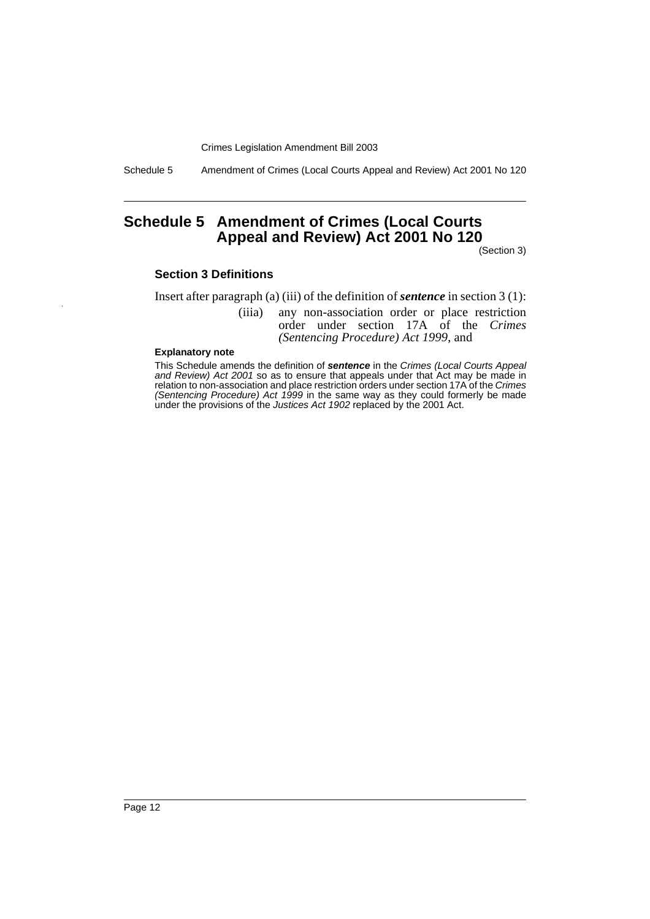Schedule 5 Amendment of Crimes (Local Courts Appeal and Review) Act 2001 No 120

# <span id="page-13-0"></span>**Schedule 5 Amendment of Crimes (Local Courts Appeal and Review) Act 2001 No 120**

(Section 3)

#### **Section 3 Definitions**

Insert after paragraph (a) (iii) of the definition of *sentence* in section 3 (1):

(iiia) any non-association order or place restriction order under section 17A of the *Crimes (Sentencing Procedure) Act 1999*, and

#### **Explanatory note**

This Schedule amends the definition of **sentence** in the Crimes (Local Courts Appeal and Review) Act 2001 so as to ensure that appeals under that Act may be made in relation to non-association and place restriction orders under section 17A of the Crimes (Sentencing Procedure) Act 1999 in the same way as they could formerly be made under the provisions of the Justices Act 1902 replaced by the 2001 Act.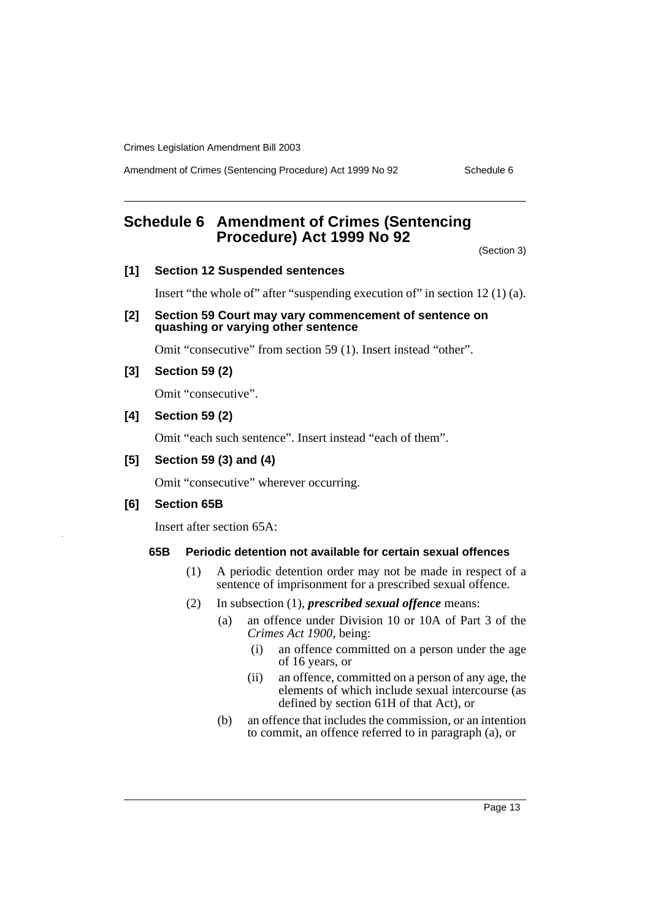Amendment of Crimes (Sentencing Procedure) Act 1999 No 92 Schedule 6

# <span id="page-14-0"></span>**Schedule 6 Amendment of Crimes (Sentencing Procedure) Act 1999 No 92**

(Section 3)

### **[1] Section 12 Suspended sentences**

Insert "the whole of" after "suspending execution of" in section 12 (1) (a).

**[2] Section 59 Court may vary commencement of sentence on quashing or varying other sentence**

Omit "consecutive" from section 59 (1). Insert instead "other".

**[3] Section 59 (2)**

Omit "consecutive".

# **[4] Section 59 (2)**

Omit "each such sentence". Insert instead "each of them".

### **[5] Section 59 (3) and (4)**

Omit "consecutive" wherever occurring.

### **[6] Section 65B**

Insert after section 65A:

### **65B Periodic detention not available for certain sexual offences**

- (1) A periodic detention order may not be made in respect of a sentence of imprisonment for a prescribed sexual offence.
- (2) In subsection (1), *prescribed sexual offence* means:
	- (a) an offence under Division 10 or 10A of Part 3 of the *Crimes Act 1900*, being:
		- (i) an offence committed on a person under the age of 16 years, or
		- (ii) an offence, committed on a person of any age, the elements of which include sexual intercourse (as defined by section 61H of that Act), or
	- (b) an offence that includes the commission, or an intention to commit, an offence referred to in paragraph (a), or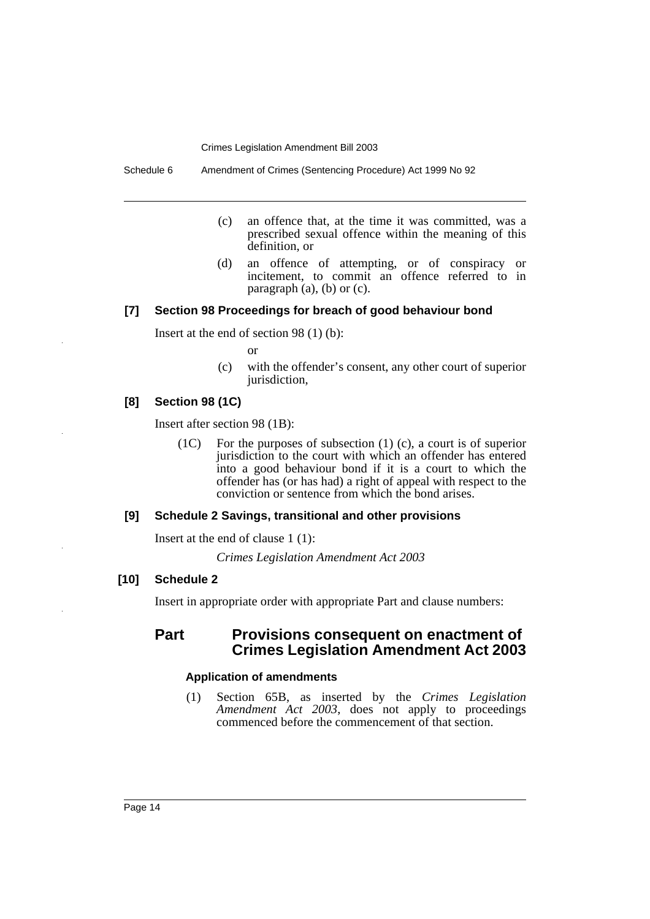Schedule 6 Amendment of Crimes (Sentencing Procedure) Act 1999 No 92

- (c) an offence that, at the time it was committed, was a prescribed sexual offence within the meaning of this definition, or
- (d) an offence of attempting, or of conspiracy or incitement, to commit an offence referred to in paragraph (a), (b) or (c).

### **[7] Section 98 Proceedings for breach of good behaviour bond**

Insert at the end of section 98 (1) (b):

- or
- (c) with the offender's consent, any other court of superior jurisdiction,

# **[8] Section 98 (1C)**

Insert after section 98 (1B):

(1C) For the purposes of subsection (1) (c), a court is of superior jurisdiction to the court with which an offender has entered into a good behaviour bond if it is a court to which the offender has (or has had) a right of appeal with respect to the conviction or sentence from which the bond arises.

# **[9] Schedule 2 Savings, transitional and other provisions**

Insert at the end of clause 1 (1):

*Crimes Legislation Amendment Act 2003*

### **[10] Schedule 2**

Insert in appropriate order with appropriate Part and clause numbers:

# **Part Provisions consequent on enactment of Crimes Legislation Amendment Act 2003**

### **Application of amendments**

(1) Section 65B, as inserted by the *Crimes Legislation Amendment Act 2003*, does not apply to proceedings commenced before the commencement of that section.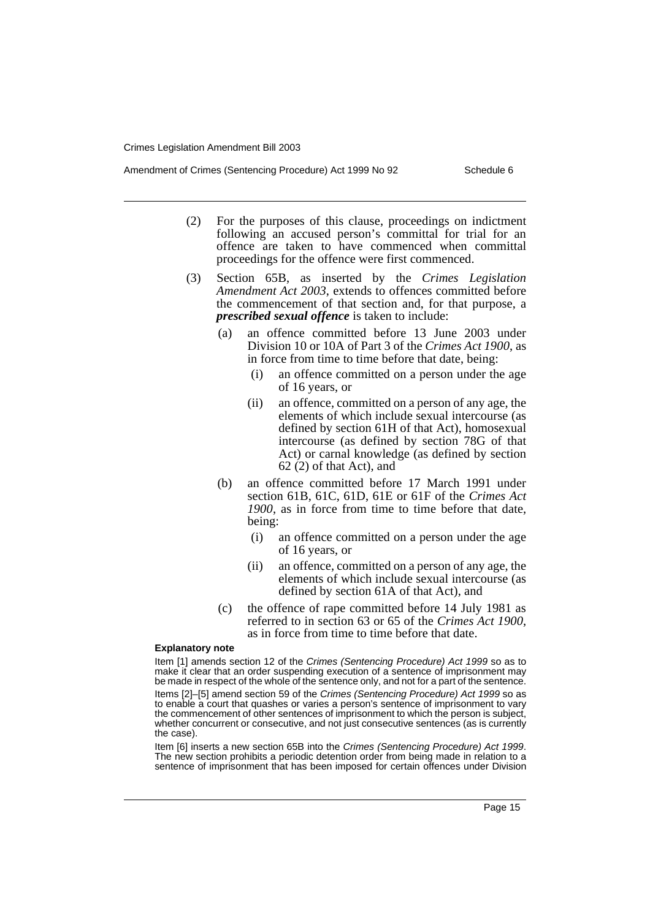- Amendment of Crimes (Sentencing Procedure) Act 1999 No 92 Schedule 6
	- (2) For the purposes of this clause, proceedings on indictment following an accused person's committal for trial for an offence are taken to have commenced when committal proceedings for the offence were first commenced.
	- (3) Section 65B, as inserted by the *Crimes Legislation Amendment Act 2003*, extends to offences committed before the commencement of that section and, for that purpose, a *prescribed sexual offence* is taken to include:
		- (a) an offence committed before 13 June 2003 under Division 10 or 10A of Part 3 of the *Crimes Act 1900*, as in force from time to time before that date, being:
			- (i) an offence committed on a person under the age of 16 years, or
			- (ii) an offence, committed on a person of any age, the elements of which include sexual intercourse (as defined by section 61H of that Act), homosexual intercourse (as defined by section 78G of that Act) or carnal knowledge (as defined by section 62 (2) of that Act), and
		- (b) an offence committed before 17 March 1991 under section 61B, 61C, 61D, 61E or 61F of the *Crimes Act 1900*, as in force from time to time before that date, being:
			- (i) an offence committed on a person under the age of 16 years, or
			- (ii) an offence, committed on a person of any age, the elements of which include sexual intercourse (as defined by section 61A of that Act), and
		- (c) the offence of rape committed before 14 July 1981 as referred to in section 63 or 65 of the *Crimes Act 1900*, as in force from time to time before that date.

#### **Explanatory note**

Item [1] amends section 12 of the Crimes (Sentencing Procedure) Act 1999 so as to make it clear that an order suspending execution of a sentence of imprisonment may be made in respect of the whole of the sentence only, and not for a part of the sentence. Items [2]–[5] amend section 59 of the Crimes (Sentencing Procedure) Act 1999 so as to enable a court that quashes or varies a person's sentence of imprisonment to vary the commencement of other sentences of imprisonment to which the person is subject, whether concurrent or consecutive, and not just consecutive sentences (as is currently the case).

Item [6] inserts a new section 65B into the Crimes (Sentencing Procedure) Act 1999. The new section prohibits a periodic detention order from being made in relation to a sentence of imprisonment that has been imposed for certain offences under Division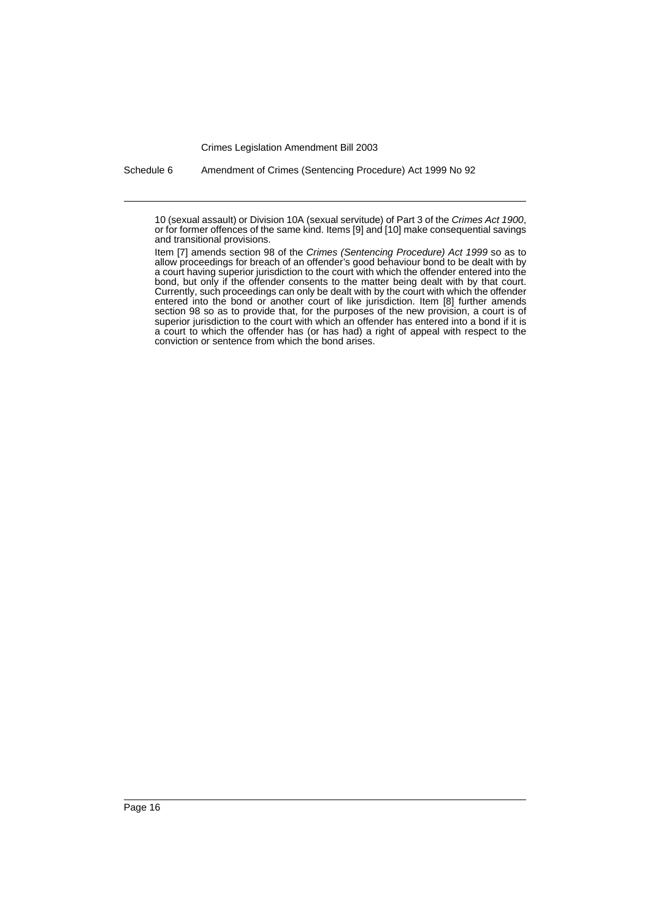Schedule 6 Amendment of Crimes (Sentencing Procedure) Act 1999 No 92

<sup>10 (</sup>sexual assault) or Division 10A (sexual servitude) of Part 3 of the Crimes Act 1900, or for former offences of the same kind. Items [9] and [10] make consequential savings and transitional provisions.

Item [7] amends section 98 of the Crimes (Sentencing Procedure) Act 1999 so as to allow proceedings for breach of an offender's good behaviour bond to be dealt with by a court having superior jurisdiction to the court with which the offender entered into the bond, but only if the offender consents to the matter being dealt with by that court. Currently, such proceedings can only be dealt with by the court with which the offender entered into the bond or another court of like jurisdiction. Item [8] further amends section 98 so as to provide that, for the purposes of the new provision, a court is of superior jurisdiction to the court with which an offender has entered into a bond if it is a court to which the offender has (or has had) a right of appeal with respect to the conviction or sentence from which the bond arises.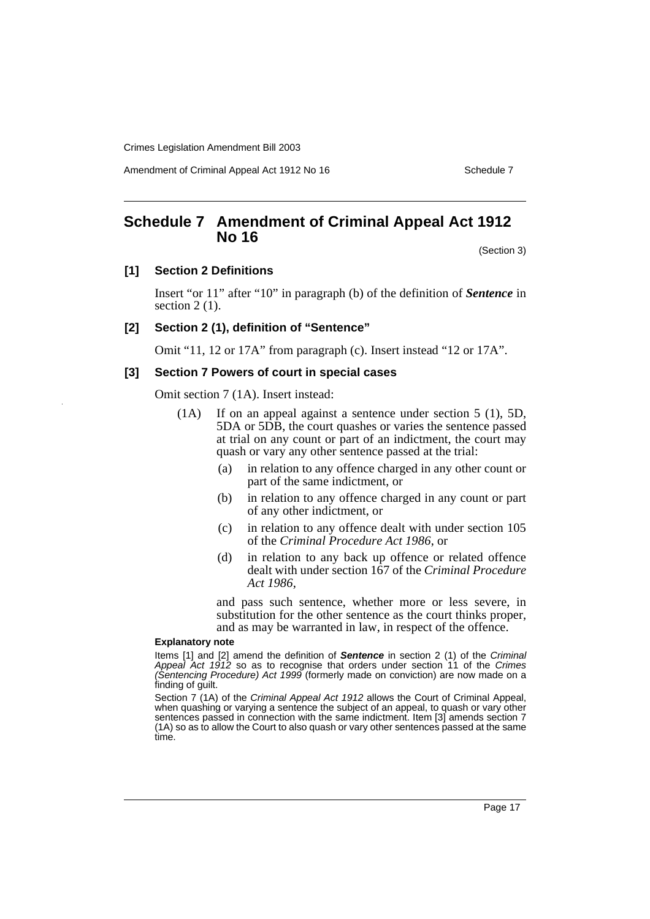Amendment of Criminal Appeal Act 1912 No 16 Schedule 7 Schedule 7

# <span id="page-18-0"></span>**Schedule 7 Amendment of Criminal Appeal Act 1912 No 16**

(Section 3)

#### **[1] Section 2 Definitions**

Insert "or 11" after "10" in paragraph (b) of the definition of *Sentence* in section  $2(1)$ .

### **[2] Section 2 (1), definition of "Sentence"**

Omit "11, 12 or 17A" from paragraph (c). Insert instead "12 or 17A".

### **[3] Section 7 Powers of court in special cases**

Omit section 7 (1A). Insert instead:

- (1A) If on an appeal against a sentence under section 5 (1), 5D, 5DA or 5DB, the court quashes or varies the sentence passed at trial on any count or part of an indictment, the court may quash or vary any other sentence passed at the trial:
	- (a) in relation to any offence charged in any other count or part of the same indictment, or
	- (b) in relation to any offence charged in any count or part of any other indictment, or
	- (c) in relation to any offence dealt with under section 105 of the *Criminal Procedure Act 1986*, or
	- (d) in relation to any back up offence or related offence dealt with under section 167 of the *Criminal Procedure Act 1986*,

and pass such sentence, whether more or less severe, in substitution for the other sentence as the court thinks proper, and as may be warranted in law, in respect of the offence.

#### **Explanatory note**

Items [1] and [2] amend the definition of **Sentence** in section 2 (1) of the Criminal Appeal Act 1912 so as to recognise that orders under section 11 of the Crimes (Sentencing Procedure) Act 1999 (formerly made on conviction) are now made on a finding of guilt.

Section 7 (1A) of the Criminal Appeal Act 1912 allows the Court of Criminal Appeal, when quashing or varying a sentence the subject of an appeal, to quash or vary other sentences passed in connection with the same indictment. Item [3] amends section 7 (1A) so as to allow the Court to also quash or vary other sentences passed at the same time.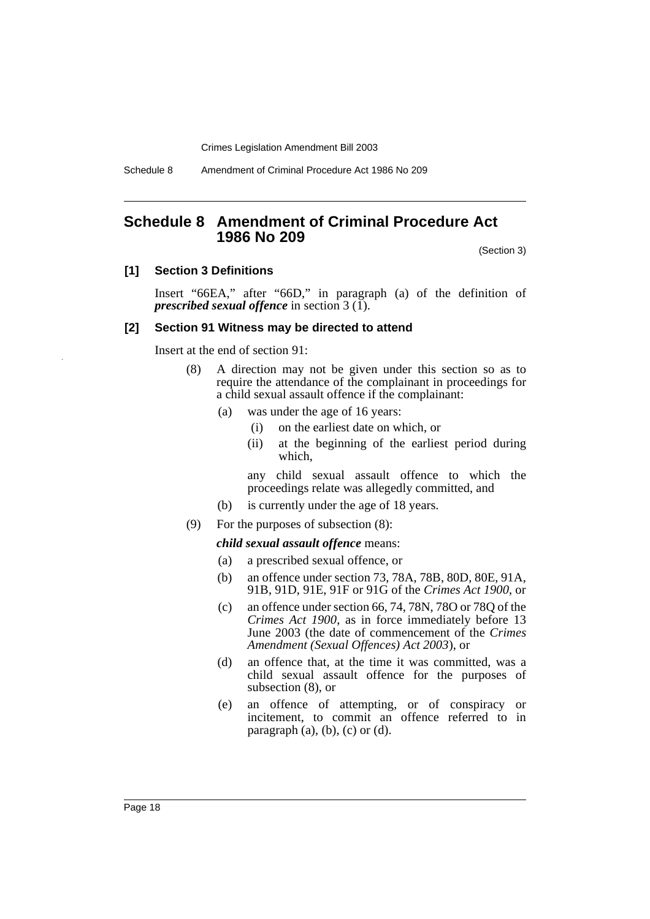Schedule 8 Amendment of Criminal Procedure Act 1986 No 209

# <span id="page-19-0"></span>**Schedule 8 Amendment of Criminal Procedure Act 1986 No 209**

(Section 3)

#### **[1] Section 3 Definitions**

Insert "66EA," after "66D," in paragraph (a) of the definition of *prescribed sexual offence* in section 3 (1).

#### **[2] Section 91 Witness may be directed to attend**

Insert at the end of section 91:

- (8) A direction may not be given under this section so as to require the attendance of the complainant in proceedings for a child sexual assault offence if the complainant:
	- (a) was under the age of 16 years:
		- (i) on the earliest date on which, or
		- (ii) at the beginning of the earliest period during which,

any child sexual assault offence to which the proceedings relate was allegedly committed, and

- (b) is currently under the age of 18 years.
- (9) For the purposes of subsection (8):

#### *child sexual assault offence* means:

- (a) a prescribed sexual offence, or
- (b) an offence under section 73, 78A, 78B, 80D, 80E, 91A, 91B, 91D, 91E, 91F or 91G of the *Crimes Act 1900*, or
- (c) an offence under section 66, 74, 78N, 78O or 78Q of the *Crimes Act 1900*, as in force immediately before 13 June 2003 (the date of commencement of the *Crimes Amendment (Sexual Offences) Act 2003*), or
- (d) an offence that, at the time it was committed, was a child sexual assault offence for the purposes of subsection (8), or
- (e) an offence of attempting, or of conspiracy or incitement, to commit an offence referred to in paragraph  $(a)$ ,  $(b)$ ,  $(c)$  or  $(d)$ .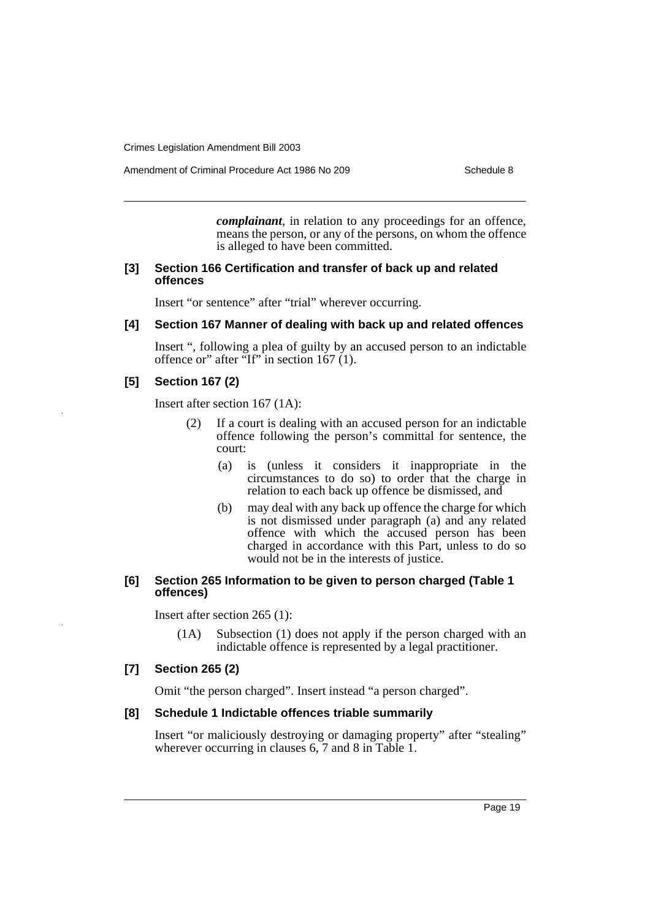Amendment of Criminal Procedure Act 1986 No 209 Schedule 8

*complainant*, in relation to any proceedings for an offence, means the person, or any of the persons, on whom the offence is alleged to have been committed.

#### **[3] Section 166 Certification and transfer of back up and related offences**

Insert "or sentence" after "trial" wherever occurring.

# **[4] Section 167 Manner of dealing with back up and related offences**

Insert ", following a plea of guilty by an accused person to an indictable offence or" after "If" in section 167 (1).

#### **[5] Section 167 (2)**

Insert after section 167 (1A):

- (2) If a court is dealing with an accused person for an indictable offence following the person's committal for sentence, the court:
	- (a) is (unless it considers it inappropriate in the circumstances to do so) to order that the charge in relation to each back up offence be dismissed, and
	- (b) may deal with any back up offence the charge for which is not dismissed under paragraph (a) and any related offence with which the accused person has been charged in accordance with this Part, unless to do so would not be in the interests of justice.

### **[6] Section 265 Information to be given to person charged (Table 1 offences)**

Insert after section 265 (1):

(1A) Subsection (1) does not apply if the person charged with an indictable offence is represented by a legal practitioner.

### **[7] Section 265 (2)**

Omit "the person charged". Insert instead "a person charged".

### **[8] Schedule 1 Indictable offences triable summarily**

Insert "or maliciously destroying or damaging property" after "stealing" wherever occurring in clauses 6, 7 and 8 in Table 1.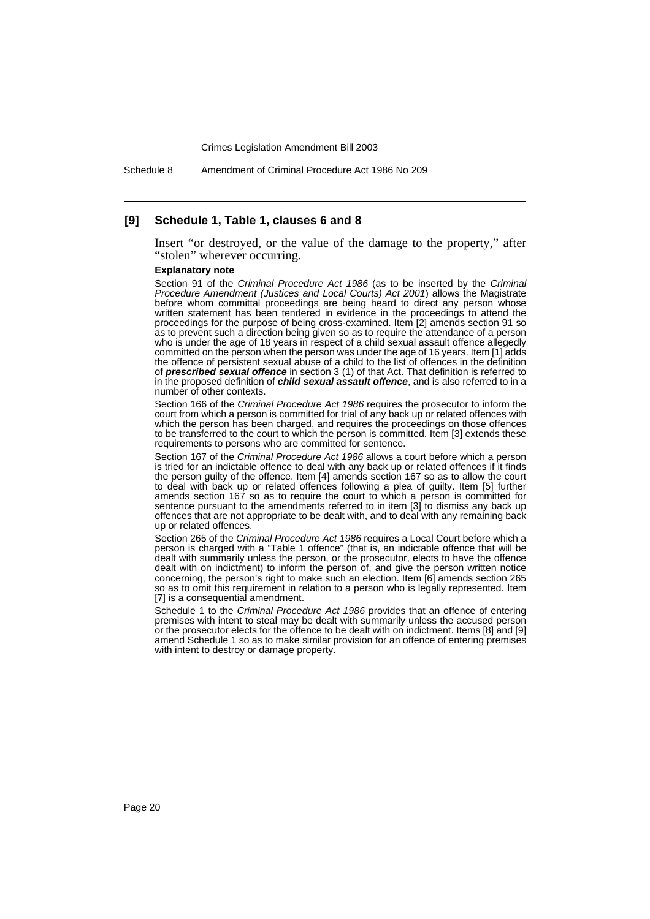Schedule 8 Amendment of Criminal Procedure Act 1986 No 209

#### **[9] Schedule 1, Table 1, clauses 6 and 8**

Insert "or destroyed, or the value of the damage to the property," after "stolen" wherever occurring.

#### **Explanatory note**

Section 91 of the Criminal Procedure Act 1986 (as to be inserted by the Criminal Procedure Amendment (Justices and Local Courts) Act 2001) allows the Magistrate before whom committal proceedings are being heard to direct any person whose written statement has been tendered in evidence in the proceedings to attend the proceedings for the purpose of being cross-examined. Item [2] amends section 91 so as to prevent such a direction being given so as to require the attendance of a person who is under the age of 18 years in respect of a child sexual assault offence allegedly committed on the person when the person was under the age of 16 years. Item [1] adds the offence of persistent sexual abuse of a child to the list of offences in the definition of **prescribed sexual offence** in section 3 (1) of that Act. That definition is referred to in the proposed definition of **child sexual assault offence**, and is also referred to in a number of other contexts.

Section 166 of the Criminal Procedure Act 1986 requires the prosecutor to inform the court from which a person is committed for trial of any back up or related offences with which the person has been charged, and requires the proceedings on those offences to be transferred to the court to which the person is committed. Item [3] extends these requirements to persons who are committed for sentence.

Section 167 of the Criminal Procedure Act 1986 allows a court before which a person is tried for an indictable offence to deal with any back up or related offences if it finds the person guilty of the offence. Item [4] amends section 167 so as to allow the court to deal with back up or related offences following a plea of guilty. Item [5] further amends section 167 so as to require the court to which a person is committed for sentence pursuant to the amendments referred to in item [3] to dismiss any back up offences that are not appropriate to be dealt with, and to deal with any remaining back up or related offences.

Section 265 of the Criminal Procedure Act 1986 requires a Local Court before which a person is charged with a "Table 1 offence" (that is, an indictable offence that will be dealt with summarily unless the person, or the prosecutor, elects to have the offence dealt with on indictment) to inform the person of, and give the person written notice concerning, the person's right to make such an election. Item [6] amends section 265 so as to omit this requirement in relation to a person who is legally represented. Item [7] is a consequential amendment.

Schedule 1 to the Criminal Procedure Act 1986 provides that an offence of entering premises with intent to steal may be dealt with summarily unless the accused person or the prosecutor elects for the offence to be dealt with on indictment. Items [8] and [9] amend Schedule 1 so as to make similar provision for an offence of entering premises with intent to destroy or damage property.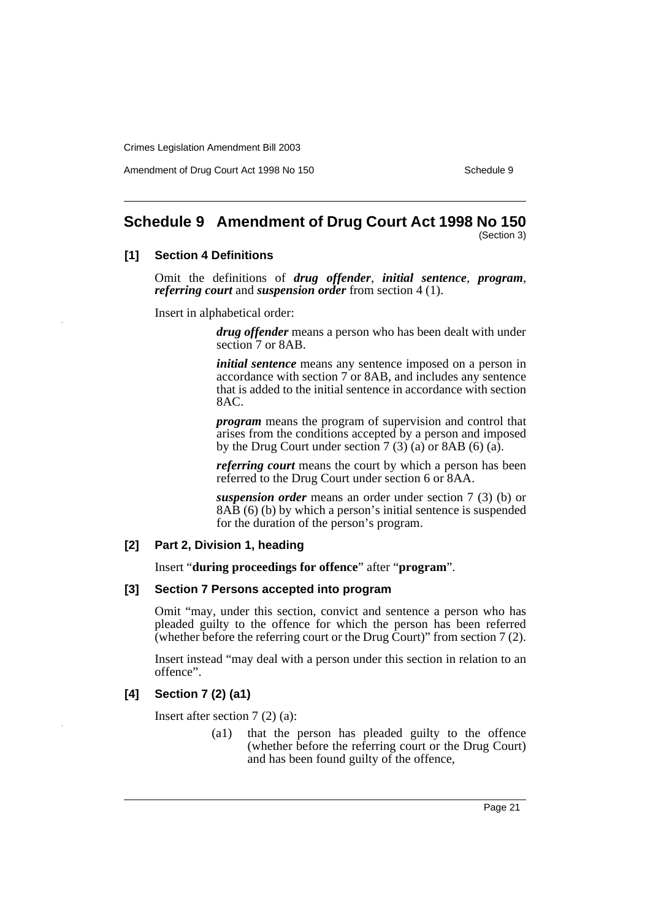Amendment of Drug Court Act 1998 No 150 Schedule 9 Schedule 9

# <span id="page-22-0"></span>**Schedule 9 Amendment of Drug Court Act 1998 No 150**

(Section 3)

### **[1] Section 4 Definitions**

Omit the definitions of *drug offender*, *initial sentence*, *program*, *referring court* and *suspension order* from section 4 (1).

Insert in alphabetical order:

*drug offender* means a person who has been dealt with under section 7 or 8AB.

*initial sentence* means any sentence imposed on a person in accordance with section 7 or 8AB, and includes any sentence that is added to the initial sentence in accordance with section 8AC.

*program* means the program of supervision and control that arises from the conditions accepted by a person and imposed by the Drug Court under section  $7(3)$  (a) or 8AB (6) (a).

*referring court* means the court by which a person has been referred to the Drug Court under section 6 or 8AA.

*suspension order* means an order under section 7 (3) (b) or 8AB (6) (b) by which a person's initial sentence is suspended for the duration of the person's program.

#### **[2] Part 2, Division 1, heading**

Insert "**during proceedings for offence**" after "**program**".

#### **[3] Section 7 Persons accepted into program**

Omit "may, under this section, convict and sentence a person who has pleaded guilty to the offence for which the person has been referred (whether before the referring court or the Drug Court)" from section 7 (2).

Insert instead "may deal with a person under this section in relation to an offence".

### **[4] Section 7 (2) (a1)**

Insert after section 7 (2) (a):

(a1) that the person has pleaded guilty to the offence (whether before the referring court or the Drug Court) and has been found guilty of the offence,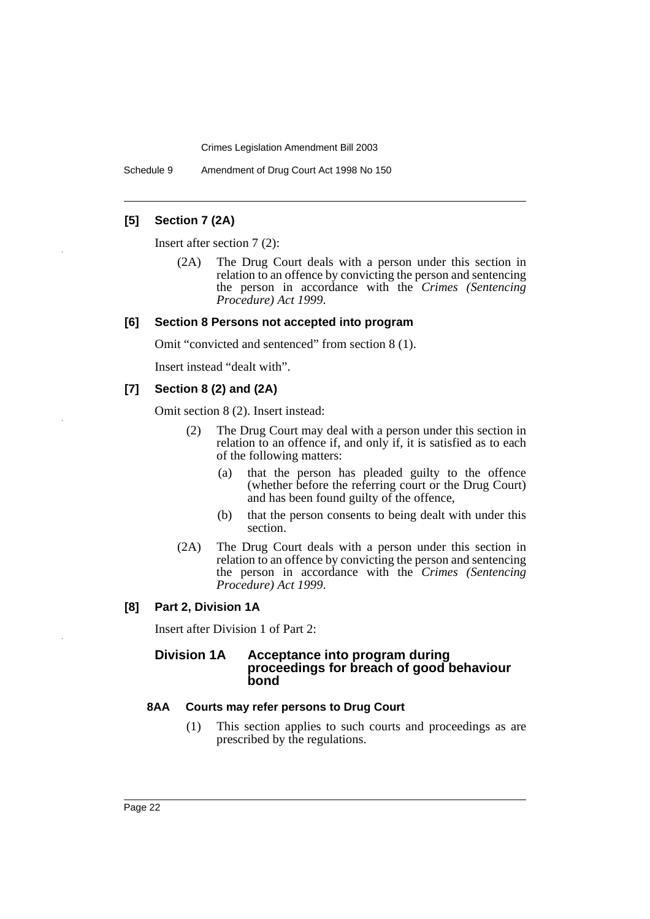Schedule 9 Amendment of Drug Court Act 1998 No 150

# **[5] Section 7 (2A)**

Insert after section 7 (2):

(2A) The Drug Court deals with a person under this section in relation to an offence by convicting the person and sentencing the person in accordance with the *Crimes (Sentencing Procedure) Act 1999*.

#### **[6] Section 8 Persons not accepted into program**

Omit "convicted and sentenced" from section 8 (1).

Insert instead "dealt with".

#### **[7] Section 8 (2) and (2A)**

Omit section 8 (2). Insert instead:

- (2) The Drug Court may deal with a person under this section in relation to an offence if, and only if, it is satisfied as to each of the following matters:
	- (a) that the person has pleaded guilty to the offence (whether before the referring court or the Drug Court) and has been found guilty of the offence,
	- (b) that the person consents to being dealt with under this section.
- (2A) The Drug Court deals with a person under this section in relation to an offence by convicting the person and sentencing the person in accordance with the *Crimes (Sentencing Procedure) Act 1999*.

#### **[8] Part 2, Division 1A**

Insert after Division 1 of Part 2:

### **Division 1A Acceptance into program during proceedings for breach of good behaviour bond**

### **8AA Courts may refer persons to Drug Court**

(1) This section applies to such courts and proceedings as are prescribed by the regulations.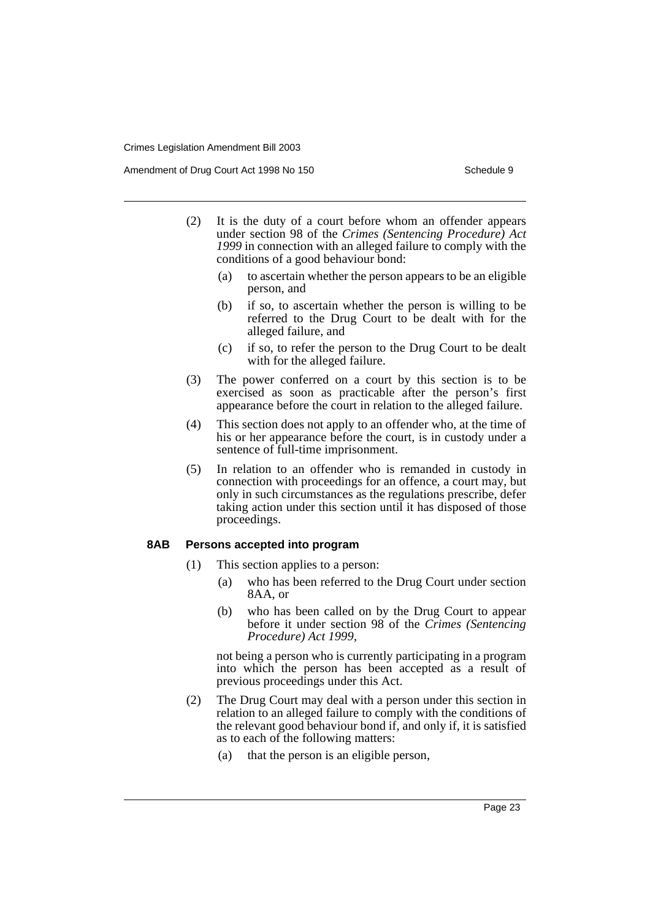Amendment of Drug Court Act 1998 No 150 Schedule 9 Schedule 9

- (2) It is the duty of a court before whom an offender appears under section 98 of the *Crimes (Sentencing Procedure) Act 1999* in connection with an alleged failure to comply with the conditions of a good behaviour bond:
	- (a) to ascertain whether the person appears to be an eligible person, and
	- (b) if so, to ascertain whether the person is willing to be referred to the Drug Court to be dealt with for the alleged failure, and
	- (c) if so, to refer the person to the Drug Court to be dealt with for the alleged failure.
- (3) The power conferred on a court by this section is to be exercised as soon as practicable after the person's first appearance before the court in relation to the alleged failure.
- (4) This section does not apply to an offender who, at the time of his or her appearance before the court, is in custody under a sentence of full-time imprisonment.
- (5) In relation to an offender who is remanded in custody in connection with proceedings for an offence, a court may, but only in such circumstances as the regulations prescribe, defer taking action under this section until it has disposed of those proceedings.

#### **8AB Persons accepted into program**

- (1) This section applies to a person:
	- (a) who has been referred to the Drug Court under section 8AA, or
	- (b) who has been called on by the Drug Court to appear before it under section 98 of the *Crimes (Sentencing Procedure) Act 1999*,

not being a person who is currently participating in a program into which the person has been accepted as a result of previous proceedings under this Act.

- (2) The Drug Court may deal with a person under this section in relation to an alleged failure to comply with the conditions of the relevant good behaviour bond if, and only if, it is satisfied as to each of the following matters:
	- (a) that the person is an eligible person,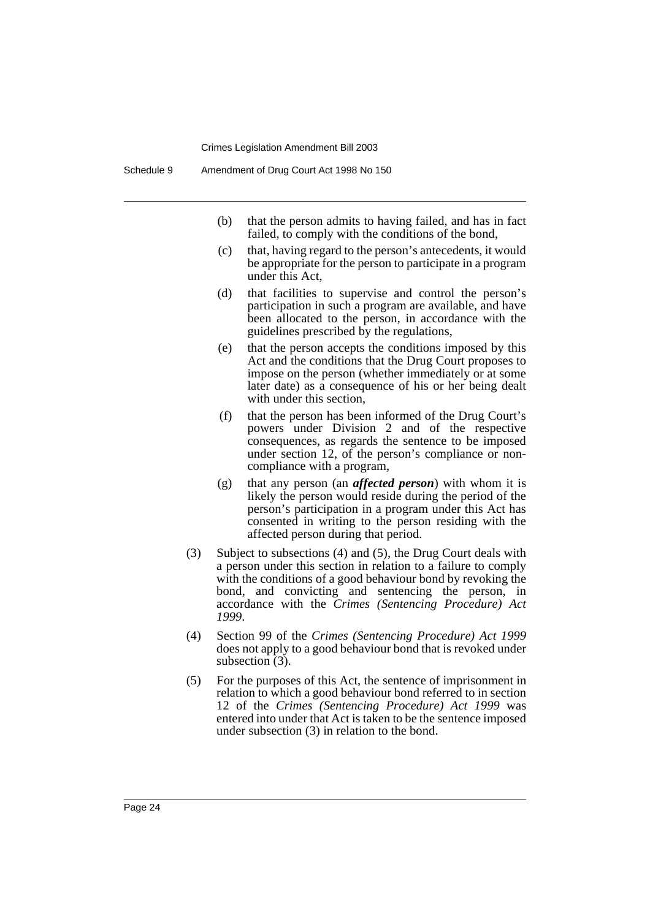- (b) that the person admits to having failed, and has in fact failed, to comply with the conditions of the bond,
- (c) that, having regard to the person's antecedents, it would be appropriate for the person to participate in a program under this Act,
- (d) that facilities to supervise and control the person's participation in such a program are available, and have been allocated to the person, in accordance with the guidelines prescribed by the regulations,
- (e) that the person accepts the conditions imposed by this Act and the conditions that the Drug Court proposes to impose on the person (whether immediately or at some later date) as a consequence of his or her being dealt with under this section.
- (f) that the person has been informed of the Drug Court's powers under Division 2 and of the respective consequences, as regards the sentence to be imposed under section 12, of the person's compliance or noncompliance with a program,
- (g) that any person (an *affected person*) with whom it is likely the person would reside during the period of the person's participation in a program under this Act has consented in writing to the person residing with the affected person during that period.
- (3) Subject to subsections (4) and (5), the Drug Court deals with a person under this section in relation to a failure to comply with the conditions of a good behaviour bond by revoking the bond, and convicting and sentencing the person, in accordance with the *Crimes (Sentencing Procedure) Act 1999*.
- (4) Section 99 of the *Crimes (Sentencing Procedure) Act 1999* does not apply to a good behaviour bond that is revoked under subsection (3).
- (5) For the purposes of this Act, the sentence of imprisonment in relation to which a good behaviour bond referred to in section 12 of the *Crimes (Sentencing Procedure) Act 1999* was entered into under that Act is taken to be the sentence imposed under subsection (3) in relation to the bond.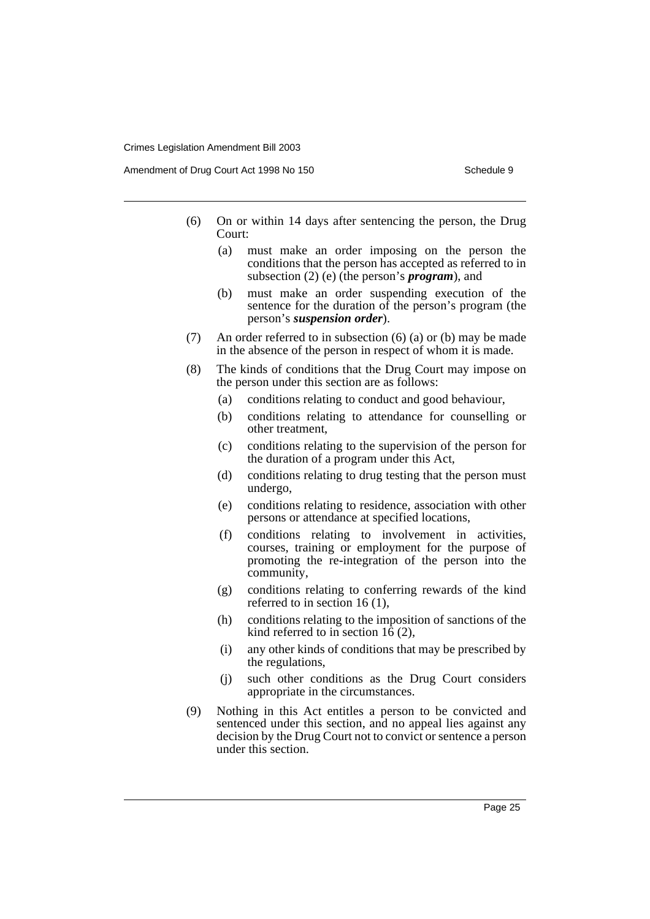Amendment of Drug Court Act 1998 No 150 Schedule 9 Schedule 9

- (6) On or within 14 days after sentencing the person, the Drug Court:
	- (a) must make an order imposing on the person the conditions that the person has accepted as referred to in subsection (2) (e) (the person's *program*), and
	- (b) must make an order suspending execution of the sentence for the duration of the person's program (the person's *suspension order*).
- (7) An order referred to in subsection (6) (a) or (b) may be made in the absence of the person in respect of whom it is made.
- (8) The kinds of conditions that the Drug Court may impose on the person under this section are as follows:
	- (a) conditions relating to conduct and good behaviour,
	- (b) conditions relating to attendance for counselling or other treatment,
	- (c) conditions relating to the supervision of the person for the duration of a program under this Act,
	- (d) conditions relating to drug testing that the person must undergo,
	- (e) conditions relating to residence, association with other persons or attendance at specified locations,
	- (f) conditions relating to involvement in activities, courses, training or employment for the purpose of promoting the re-integration of the person into the community,
	- (g) conditions relating to conferring rewards of the kind referred to in section 16 (1),
	- (h) conditions relating to the imposition of sanctions of the kind referred to in section  $16(2)$ ,
	- (i) any other kinds of conditions that may be prescribed by the regulations,
	- (j) such other conditions as the Drug Court considers appropriate in the circumstances.
- (9) Nothing in this Act entitles a person to be convicted and sentenced under this section, and no appeal lies against any decision by the Drug Court not to convict or sentence a person under this section.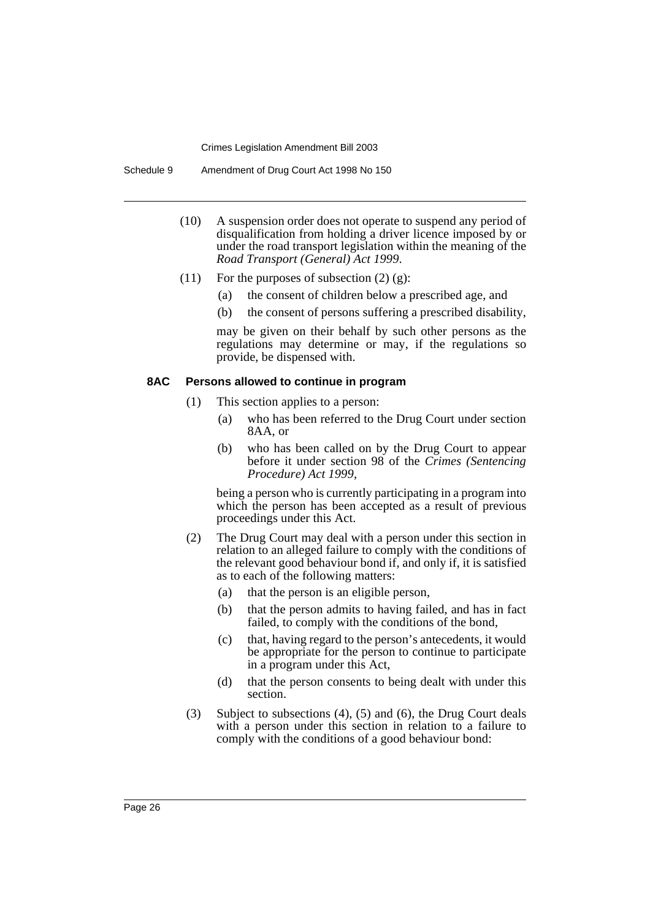Schedule 9 Amendment of Drug Court Act 1998 No 150

- (10) A suspension order does not operate to suspend any period of disqualification from holding a driver licence imposed by or under the road transport legislation within the meaning of the *Road Transport (General) Act 1999*.
- (11) For the purposes of subsection  $(2)$   $(g)$ :
	- (a) the consent of children below a prescribed age, and
	- (b) the consent of persons suffering a prescribed disability,

may be given on their behalf by such other persons as the regulations may determine or may, if the regulations so provide, be dispensed with.

#### **8AC Persons allowed to continue in program**

- (1) This section applies to a person:
	- (a) who has been referred to the Drug Court under section 8AA, or
	- (b) who has been called on by the Drug Court to appear before it under section 98 of the *Crimes (Sentencing Procedure) Act 1999*,

being a person who is currently participating in a program into which the person has been accepted as a result of previous proceedings under this Act.

- (2) The Drug Court may deal with a person under this section in relation to an alleged failure to comply with the conditions of the relevant good behaviour bond if, and only if, it is satisfied as to each of the following matters:
	- (a) that the person is an eligible person,
	- (b) that the person admits to having failed, and has in fact failed, to comply with the conditions of the bond,
	- (c) that, having regard to the person's antecedents, it would be appropriate for the person to continue to participate in a program under this Act,
	- (d) that the person consents to being dealt with under this section.
- (3) Subject to subsections (4), (5) and (6), the Drug Court deals with a person under this section in relation to a failure to comply with the conditions of a good behaviour bond: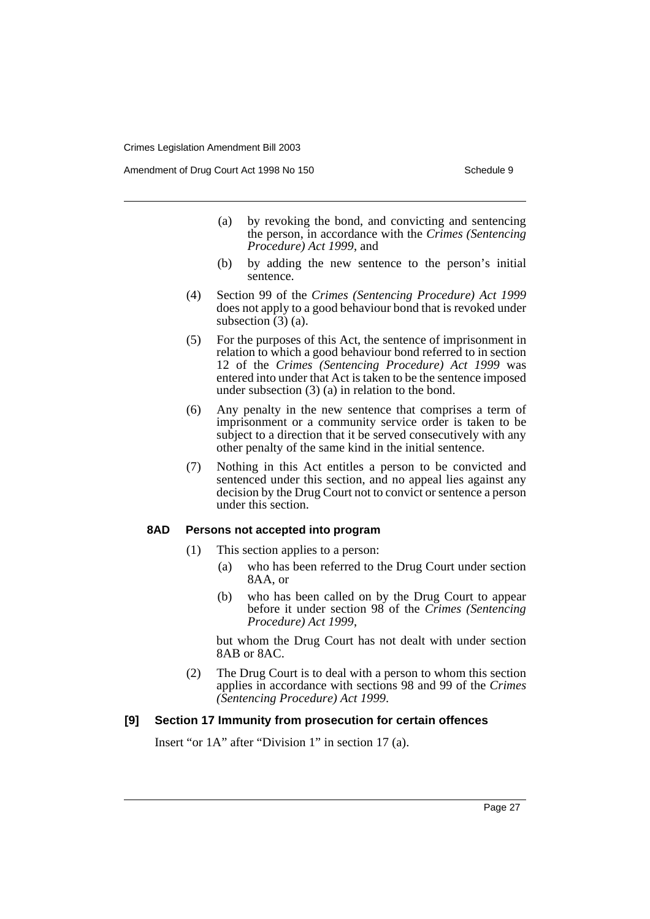Amendment of Drug Court Act 1998 No 150 Schedule 9 Schedule 9

- (a) by revoking the bond, and convicting and sentencing the person, in accordance with the *Crimes (Sentencing Procedure) Act 1999*, and
- (b) by adding the new sentence to the person's initial sentence.
- (4) Section 99 of the *Crimes (Sentencing Procedure) Act 1999* does not apply to a good behaviour bond that is revoked under subsection  $(3)$  (a).
- (5) For the purposes of this Act, the sentence of imprisonment in relation to which a good behaviour bond referred to in section 12 of the *Crimes (Sentencing Procedure) Act 1999* was entered into under that Act is taken to be the sentence imposed under subsection (3) (a) in relation to the bond.
- (6) Any penalty in the new sentence that comprises a term of imprisonment or a community service order is taken to be subject to a direction that it be served consecutively with any other penalty of the same kind in the initial sentence.
- (7) Nothing in this Act entitles a person to be convicted and sentenced under this section, and no appeal lies against any decision by the Drug Court not to convict or sentence a person under this section.

#### **8AD Persons not accepted into program**

- (1) This section applies to a person:
	- (a) who has been referred to the Drug Court under section 8AA, or
	- (b) who has been called on by the Drug Court to appear before it under section 98 of the *Crimes (Sentencing Procedure) Act 1999*,

but whom the Drug Court has not dealt with under section 8AB or 8AC.

(2) The Drug Court is to deal with a person to whom this section applies in accordance with sections 98 and 99 of the *Crimes (Sentencing Procedure) Act 1999*.

### **[9] Section 17 Immunity from prosecution for certain offences**

Insert "or 1A" after "Division 1" in section 17 (a).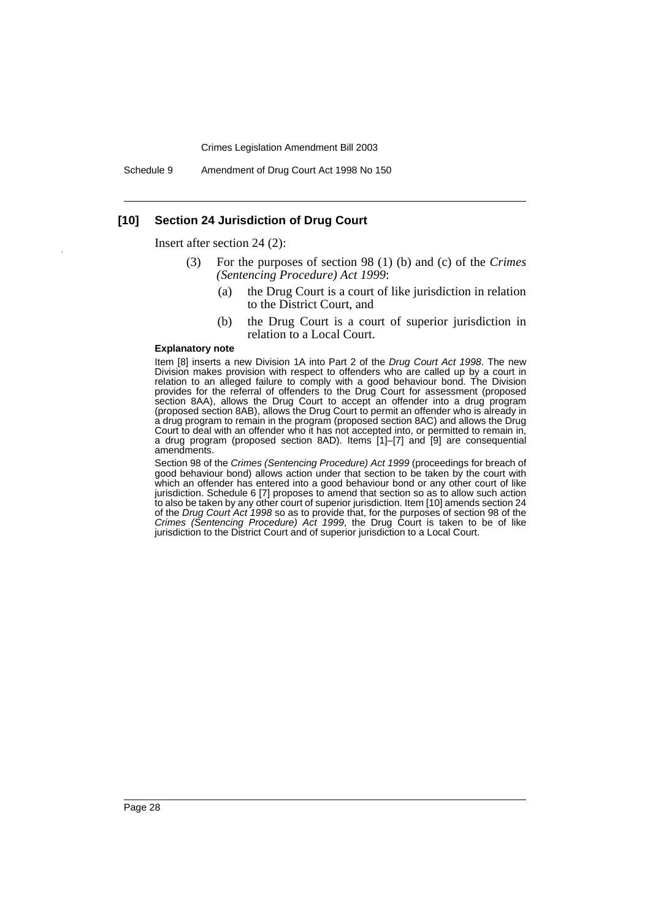Schedule 9 Amendment of Drug Court Act 1998 No 150

### **[10] Section 24 Jurisdiction of Drug Court**

Insert after section 24 (2):

- (3) For the purposes of section 98 (1) (b) and (c) of the *Crimes (Sentencing Procedure) Act 1999*:
	- (a) the Drug Court is a court of like jurisdiction in relation to the District Court, and
	- (b) the Drug Court is a court of superior jurisdiction in relation to a Local Court.

#### **Explanatory note**

Item [8] inserts a new Division 1A into Part 2 of the Drug Court Act 1998. The new Division makes provision with respect to offenders who are called up by a court in relation to an alleged failure to comply with a good behaviour bond. The Division provides for the referral of offenders to the Drug Court for assessment (proposed section 8AA), allows the Drug Court to accept an offender into a drug program (proposed section 8AB), allows the Drug Court to permit an offender who is already in a drug program to remain in the program (proposed section 8AC) and allows the Drug Court to deal with an offender who it has not accepted into, or permitted to remain in, a drug program (proposed section 8AD). Items [1]–[7] and [9] are consequential amendments.

Section 98 of the Crimes (Sentencing Procedure) Act 1999 (proceedings for breach of good behaviour bond) allows action under that section to be taken by the court with which an offender has entered into a good behaviour bond or any other court of like jurisdiction. Schedule 6 [7] proposes to amend that section so as to allow such action to also be taken by any other court of superior jurisdiction. Item [10] amends section 24 of the Drug Court Act 1998 so as to provide that, for the purposes of section 98 of the Crimes (Sentencing Procedure) Act 1999, the Drug Court is taken to be of like jurisdiction to the District Court and of superior jurisdiction to a Local Court.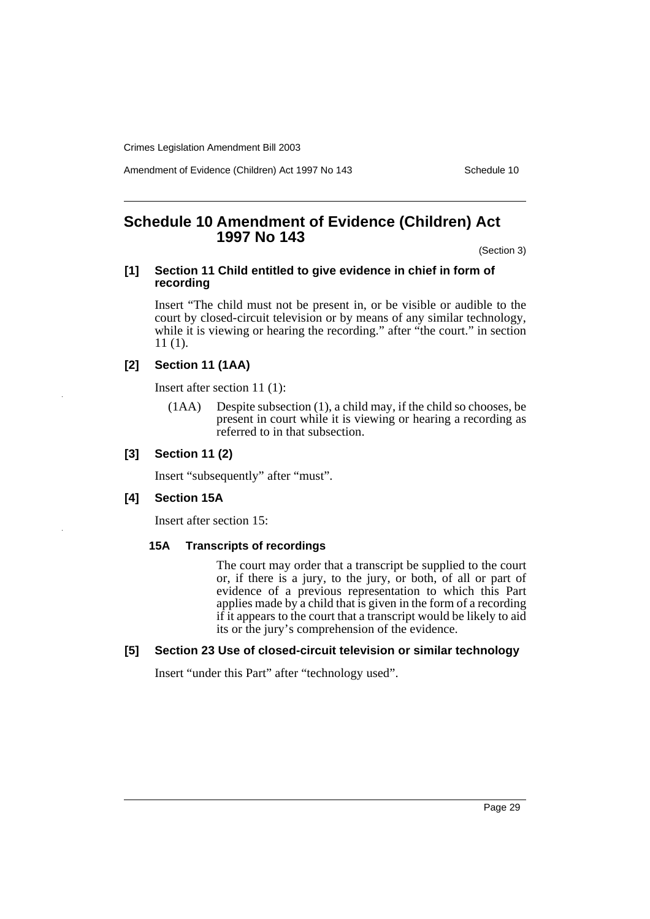Amendment of Evidence (Children) Act 1997 No 143 Schedule 10

# <span id="page-30-0"></span>**Schedule 10 Amendment of Evidence (Children) Act 1997 No 143**

(Section 3)

#### **[1] Section 11 Child entitled to give evidence in chief in form of recording**

Insert "The child must not be present in, or be visible or audible to the court by closed-circuit television or by means of any similar technology, while it is viewing or hearing the recording." after "the court." in section 11 (1).

# **[2] Section 11 (1AA)**

Insert after section 11 (1):

(1AA) Despite subsection (1), a child may, if the child so chooses, be present in court while it is viewing or hearing a recording as referred to in that subsection.

### **[3] Section 11 (2)**

Insert "subsequently" after "must".

# **[4] Section 15A**

Insert after section 15:

### **15A Transcripts of recordings**

The court may order that a transcript be supplied to the court or, if there is a jury, to the jury, or both, of all or part of evidence of a previous representation to which this Part applies made by a child that is given in the form of a recording if it appears to the court that a transcript would be likely to aid its or the jury's comprehension of the evidence.

### **[5] Section 23 Use of closed-circuit television or similar technology**

Insert "under this Part" after "technology used".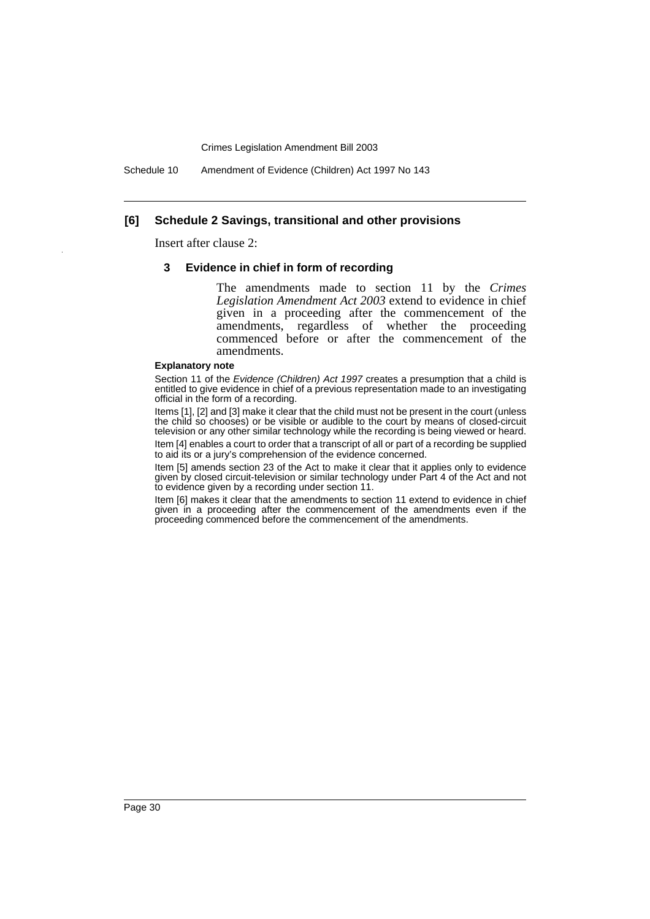Schedule 10 Amendment of Evidence (Children) Act 1997 No 143

#### **[6] Schedule 2 Savings, transitional and other provisions**

Insert after clause 2:

#### **3 Evidence in chief in form of recording**

The amendments made to section 11 by the *Crimes Legislation Amendment Act 2003* extend to evidence in chief given in a proceeding after the commencement of the amendments, regardless of whether the proceeding commenced before or after the commencement of the amendments.

#### **Explanatory note**

Section 11 of the Evidence (Children) Act 1997 creates a presumption that a child is entitled to give evidence in chief of a previous representation made to an investigating official in the form of a recording.

Items [1], [2] and [3] make it clear that the child must not be present in the court (unless the child so chooses) or be visible or audible to the court by means of closed-circuit television or any other similar technology while the recording is being viewed or heard. Item [4] enables a court to order that a transcript of all or part of a recording be supplied to aid its or a jury's comprehension of the evidence concerned.

Item [5] amends section 23 of the Act to make it clear that it applies only to evidence given by closed circuit-television or similar technology under Part 4 of the Act and not to evidence given by a recording under section 11.

Item [6] makes it clear that the amendments to section 11 extend to evidence in chief given in a proceeding after the commencement of the amendments even if the proceeding commenced before the commencement of the amendments.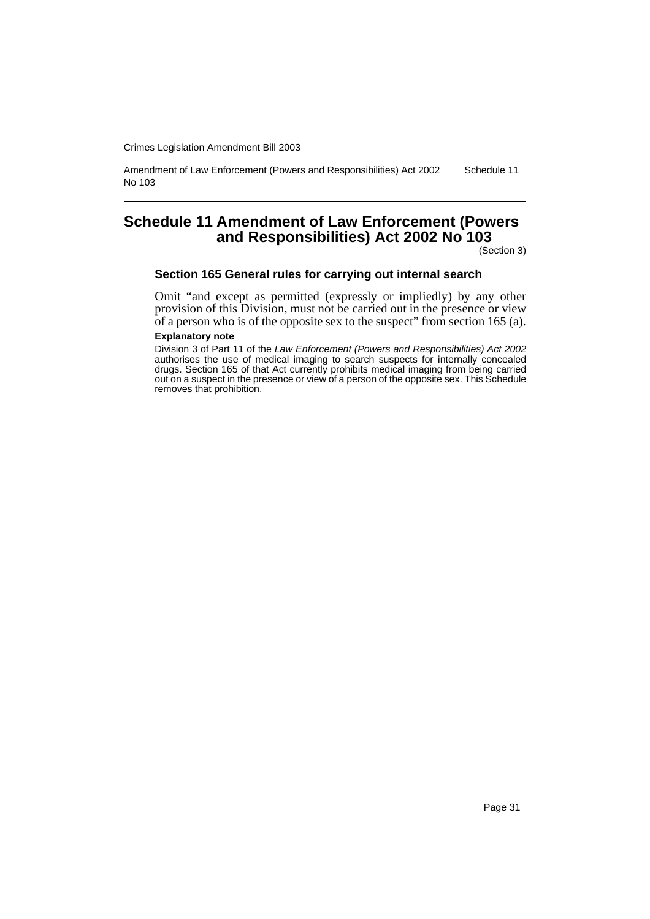Amendment of Law Enforcement (Powers and Responsibilities) Act 2002 No 103 Schedule 11

# <span id="page-32-0"></span>**Schedule 11 Amendment of Law Enforcement (Powers and Responsibilities) Act 2002 No 103**

(Section 3)

#### **Section 165 General rules for carrying out internal search**

Omit "and except as permitted (expressly or impliedly) by any other provision of this Division, must not be carried out in the presence or view of a person who is of the opposite sex to the suspect" from section 165 (a).

#### **Explanatory note**

Division 3 of Part 11 of the Law Enforcement (Powers and Responsibilities) Act 2002 authorises the use of medical imaging to search suspects for internally concealed drugs. Section 165 of that Act currently prohibits medical imaging from being carried out on a suspect in the presence or view of a person of the opposite sex. This Schedule removes that prohibition.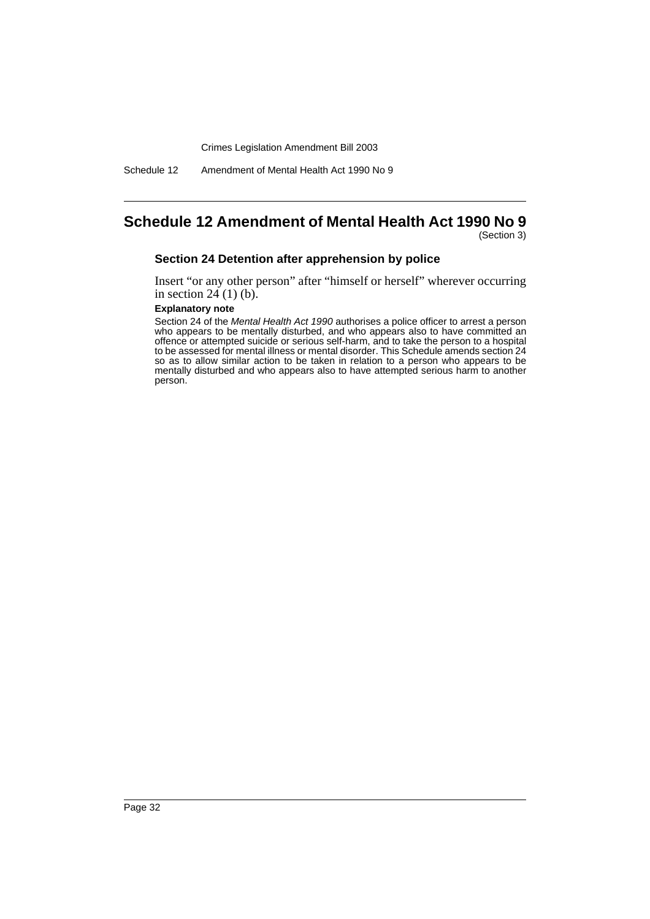Schedule 12 Amendment of Mental Health Act 1990 No 9

# <span id="page-33-0"></span>**Schedule 12 Amendment of Mental Health Act 1990 No 9**

(Section 3)

### **Section 24 Detention after apprehension by police**

Insert "or any other person" after "himself or herself" wherever occurring in section  $24(1)(b)$ .

#### **Explanatory note**

Section 24 of the Mental Health Act 1990 authorises a police officer to arrest a person who appears to be mentally disturbed, and who appears also to have committed an offence or attempted suicide or serious self-harm, and to take the person to a hospital to be assessed for mental illness or mental disorder. This Schedule amends section 24 so as to allow similar action to be taken in relation to a person who appears to be mentally disturbed and who appears also to have attempted serious harm to another person.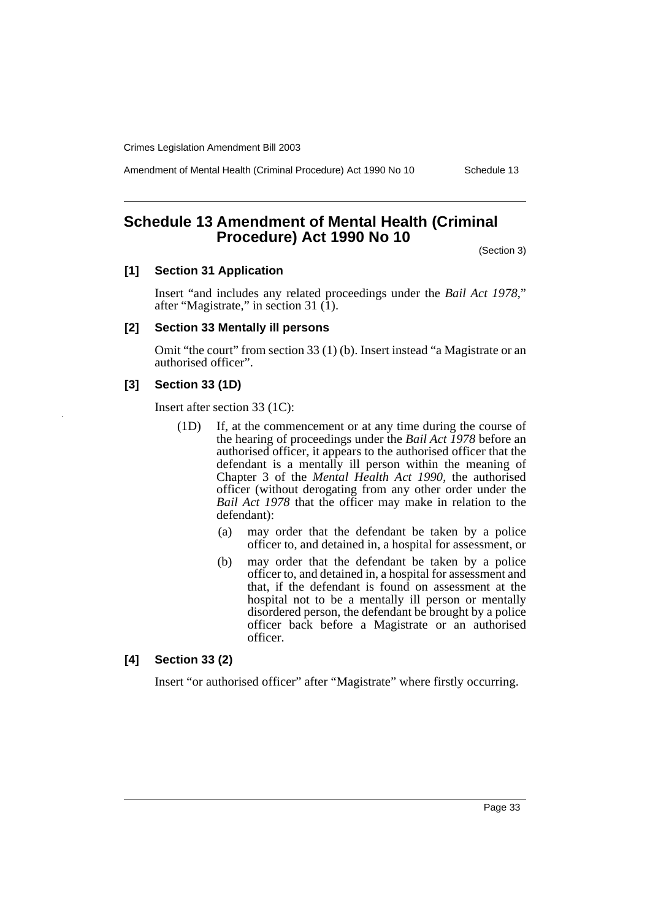Amendment of Mental Health (Criminal Procedure) Act 1990 No 10 Schedule 13

# <span id="page-34-0"></span>**Schedule 13 Amendment of Mental Health (Criminal Procedure) Act 1990 No 10**

(Section 3)

# **[1] Section 31 Application**

Insert "and includes any related proceedings under the *Bail Act 1978*," after "Magistrate," in section 31 (1).

#### **[2] Section 33 Mentally ill persons**

Omit "the court" from section 33 (1) (b). Insert instead "a Magistrate or an authorised officer".

# **[3] Section 33 (1D)**

Insert after section 33 (1C):

- (1D) If, at the commencement or at any time during the course of the hearing of proceedings under the *Bail Act 1978* before an authorised officer, it appears to the authorised officer that the defendant is a mentally ill person within the meaning of Chapter 3 of the *Mental Health Act 1990*, the authorised officer (without derogating from any other order under the *Bail Act 1978* that the officer may make in relation to the defendant):
	- (a) may order that the defendant be taken by a police officer to, and detained in, a hospital for assessment, or
	- (b) may order that the defendant be taken by a police officer to, and detained in, a hospital for assessment and that, if the defendant is found on assessment at the hospital not to be a mentally ill person or mentally disordered person, the defendant be brought by a police officer back before a Magistrate or an authorised officer.

#### **[4] Section 33 (2)**

Insert "or authorised officer" after "Magistrate" where firstly occurring.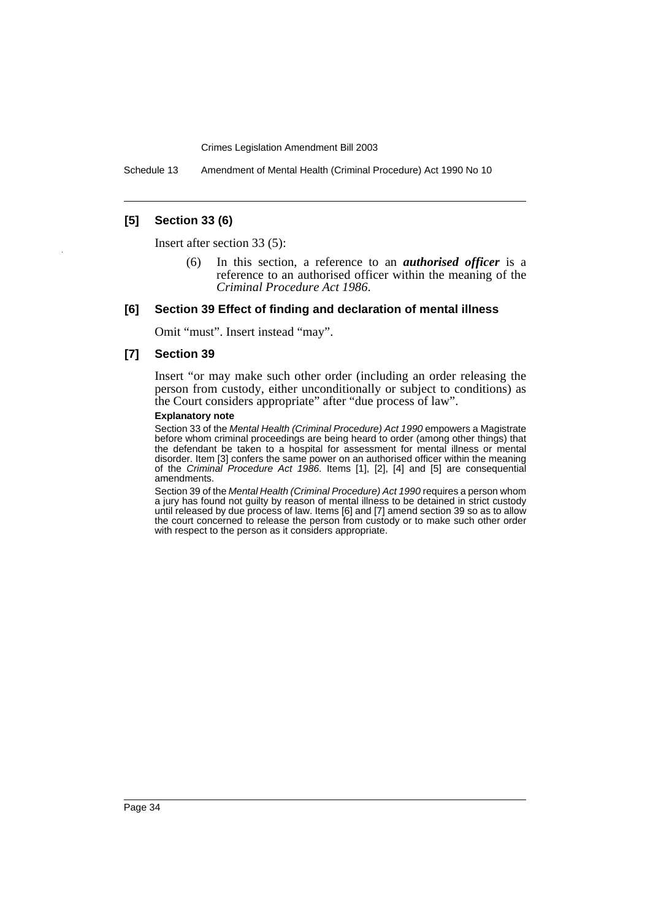Schedule 13 Amendment of Mental Health (Criminal Procedure) Act 1990 No 10

#### **[5] Section 33 (6)**

Insert after section 33 (5):

(6) In this section, a reference to an *authorised officer* is a reference to an authorised officer within the meaning of the *Criminal Procedure Act 1986*.

#### **[6] Section 39 Effect of finding and declaration of mental illness**

Omit "must". Insert instead "may".

### **[7] Section 39**

Insert "or may make such other order (including an order releasing the person from custody, either unconditionally or subject to conditions) as the Court considers appropriate" after "due process of law".

#### **Explanatory note**

Section 33 of the Mental Health (Criminal Procedure) Act 1990 empowers a Magistrate before whom criminal proceedings are being heard to order (among other things) that the defendant be taken to a hospital for assessment for mental illness or mental disorder. Item [3] confers the same power on an authorised officer within the meaning of the Criminal Procedure Act 1986. Items [1], [2], [4] and [5] are consequential amendments.

Section 39 of the Mental Health (Criminal Procedure) Act 1990 requires a person whom a jury has found not guilty by reason of mental illness to be detained in strict custody until released by due process of law. Items [6] and [7] amend section 39 so as to allow the court concerned to release the person from custody or to make such other order with respect to the person as it considers appropriate.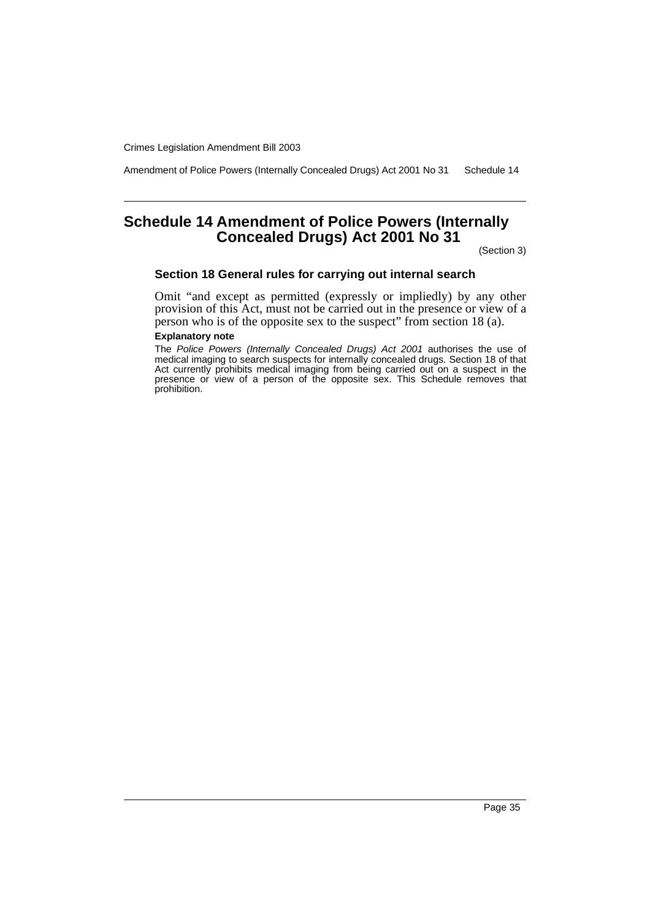Amendment of Police Powers (Internally Concealed Drugs) Act 2001 No 31 Schedule 14

# <span id="page-36-0"></span>**Schedule 14 Amendment of Police Powers (Internally Concealed Drugs) Act 2001 No 31**

(Section 3)

#### **Section 18 General rules for carrying out internal search**

Omit "and except as permitted (expressly or impliedly) by any other provision of this Act, must not be carried out in the presence or view of a person who is of the opposite sex to the suspect" from section 18 (a).

#### **Explanatory note**

The Police Powers (Internally Concealed Drugs) Act 2001 authorises the use of medical imaging to search suspects for internally concealed drugs. Section 18 of that Act currently prohibits medical imaging from being carried out on a suspect in the presence or view of a person of the opposite sex. This Schedule removes that prohibition.